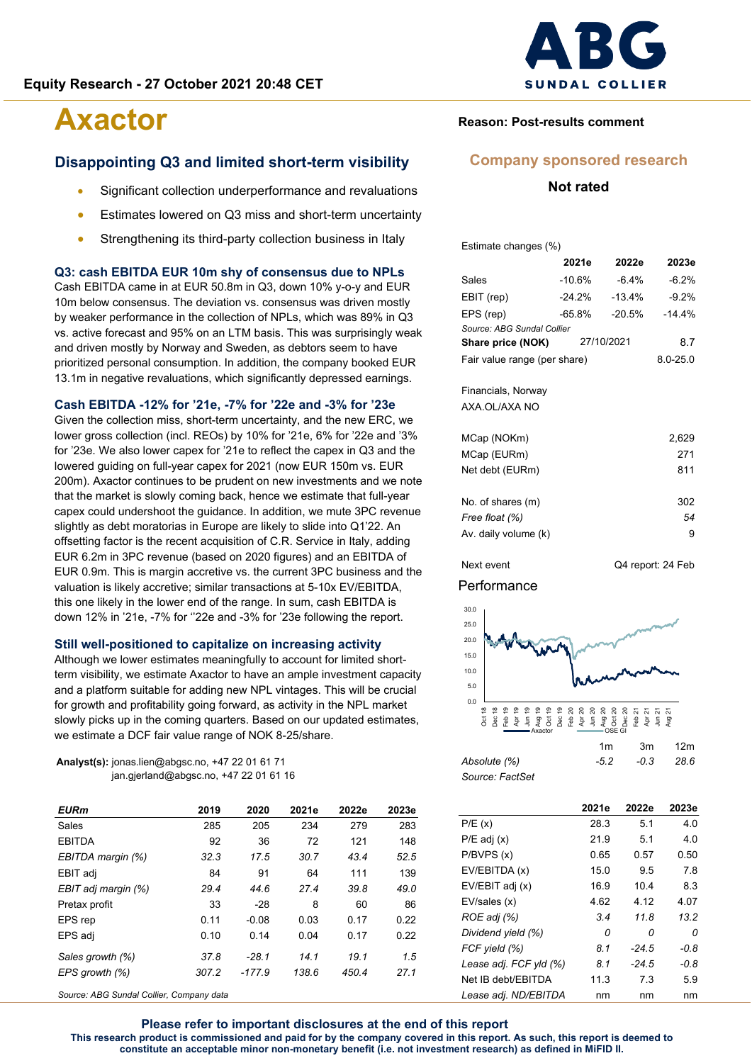#### **Disappointing Q3 and limited short-term visibility**

- Significant collection underperformance and revaluations
- Estimates lowered on Q3 miss and short-term uncertainty
- Strengthening its third-party collection business in Italy

#### **Q3: cash EBITDA EUR 10m shy of consensus due to NPLs**

Cash EBITDA came in at EUR 50.8m in Q3, down 10% y-o-y and EUR 10m below consensus. The deviation vs. consensus was driven mostly by weaker performance in the collection of NPLs, which was 89% in Q3 vs. active forecast and 95% on an LTM basis. This was surprisingly weak and driven mostly by Norway and Sweden, as debtors seem to have prioritized personal consumption. In addition, the company booked EUR 13.1m in negative revaluations, which significantly depressed earnings.

#### **Cash EBITDA -12% for '21e, -7% for '22e and -3% for '23e**

Given the collection miss, short-term uncertainty, and the new ERC, we lower gross collection (incl. REOs) by 10% for '21e, 6% for '22e and '3% for '23e. We also lower capex for '21e to reflect the capex in Q3 and the lowered guiding on full-year capex for 2021 (now EUR 150m vs. EUR 200m). Axactor continues to be prudent on new investments and we note that the market is slowly coming back, hence we estimate that full-year capex could undershoot the guidance. In addition, we mute 3PC revenue slightly as debt moratorias in Europe are likely to slide into Q1'22. An offsetting factor is the recent acquisition of C.R. Service in Italy, adding EUR 6.2m in 3PC revenue (based on 2020 figures) and an EBITDA of EUR 0.9m. This is margin accretive vs. the current 3PC business and the valuation is likely accretive; similar transactions at 5-10x EV/EBITDA, this one likely in the lower end of the range. In sum, cash EBITDA is down 12% in '21e, -7% for ''22e and -3% for '23e following the report.

#### **Still well-positioned to capitalize on increasing activity**

Although we lower estimates meaningfully to account for limited shortterm visibility, we estimate Axactor to have an ample investment capacity and a platform suitable for adding new NPL vintages. This will be crucial for growth and profitability going forward, as activity in the NPL market slowly picks up in the coming quarters. Based on our updated estimates, we estimate a DCF fair value range of NOK 8-25/share.

**Analyst(s):** jonas.lien@abgsc.no, +47 22 01 61 71 jan.gjerland@abgsc.no, +47 22 01 61 16

| 2019  | 2020     | 2021e | 2022e | 2023e |
|-------|----------|-------|-------|-------|
| 285   | 205      | 234   | 279   | 283   |
| 92    | 36       | 72    | 121   | 148   |
| 32.3  | 17.5     | 30.7  | 43.4  | 52.5  |
| 84    | 91       | 64    | 111   | 139   |
| 29.4  | 44.6     | 27.4  | 39.8  | 49.0  |
| 33    | $-28$    | 8     | 60    | 86    |
| 0.11  | $-0.08$  | 0.03  | 0.17  | 0.22  |
| 0.10  | 0.14     | 0.04  | 0.17  | 0.22  |
| 37.8  | $-28.1$  | 14.1  | 19.1  | 1.5   |
| 307.2 | $-177.9$ | 138.6 | 450.4 | 27.1  |
|       |          |       |       |       |

*Source: ABG Sundal Collier, Company data*



#### **Reason: Post-results comment**

#### **Company sponsored research**

#### **Not rated**

Estimate changes (%)

|                              | 2021e    | 2022e      | 2023e        |
|------------------------------|----------|------------|--------------|
| Sales                        | $-10.6%$ | $-6.4%$    | $-6.2%$      |
| EBIT (rep)                   | $-24.2%$ | $-13.4%$   | $-9.2%$      |
| EPS (rep)                    | $-65.8%$ | $-20.5%$   | $-14.4%$     |
| Source: ABG Sundal Collier   |          |            |              |
| Share price (NOK)            |          | 27/10/2021 | 8.7          |
| Fair value range (per share) |          |            | $8.0 - 25.0$ |
|                              |          |            |              |
| Financials, Norway           |          |            |              |

AXA.OL/AXA NO

| MCap (NOKm)          | 2,629 |
|----------------------|-------|
| MCap (EURm)          | 271   |
| Net debt (EURm)      | 811   |
|                      |       |
| No. of shares (m)    | 302   |
| Free float (%)       | 54    |
| Av. daily volume (k) | 9     |
|                      |       |

Next event Q4 report: 24 Feb

#### **Performance**



|                 | ,,,, | JHI         |  |
|-----------------|------|-------------|--|
| Absolute (%)    | -52  | $-0.3$ 28.6 |  |
| Source: FactSet |      |             |  |

|                        | 2021e | 2022e   | 2023e  |
|------------------------|-------|---------|--------|
| P/E(x)                 | 28.3  | 5.1     | 4.0    |
| $P/E$ adj $(x)$        | 21.9  | 5.1     | 4.0    |
| P/BVPS(x)              | 0.65  | 0.57    | 0.50   |
| EV/EBITDA (x)          | 15.0  | 9.5     | 7.8    |
| EV/EBIT adj (x)        | 16.9  | 10.4    | 8.3    |
| EV/sales (x)           | 4.62  | 4.12    | 4.07   |
| ROE adj (%)            | 3.4   | 11.8    | 13.2   |
| Dividend yield (%)     | 0     | 0       | 0      |
| FCF yield (%)          | 8.1   | -24.5   | -0.8   |
| Lease adj. FCF yld (%) | 8.1   | $-24.5$ | $-0.8$ |
| Net IB debt/EBITDA     | 11.3  | 7.3     | 5.9    |
| Lease adj. ND/EBITDA   | nm    | nm      | nm     |

**Please refer to important disclosures at the end of this report This research product is commissioned and paid for by the company covered in this report. As such, this report is deemed to constitute an acceptable minor non-monetary benefit (i.e. not investment research) as defined in MiFID II.**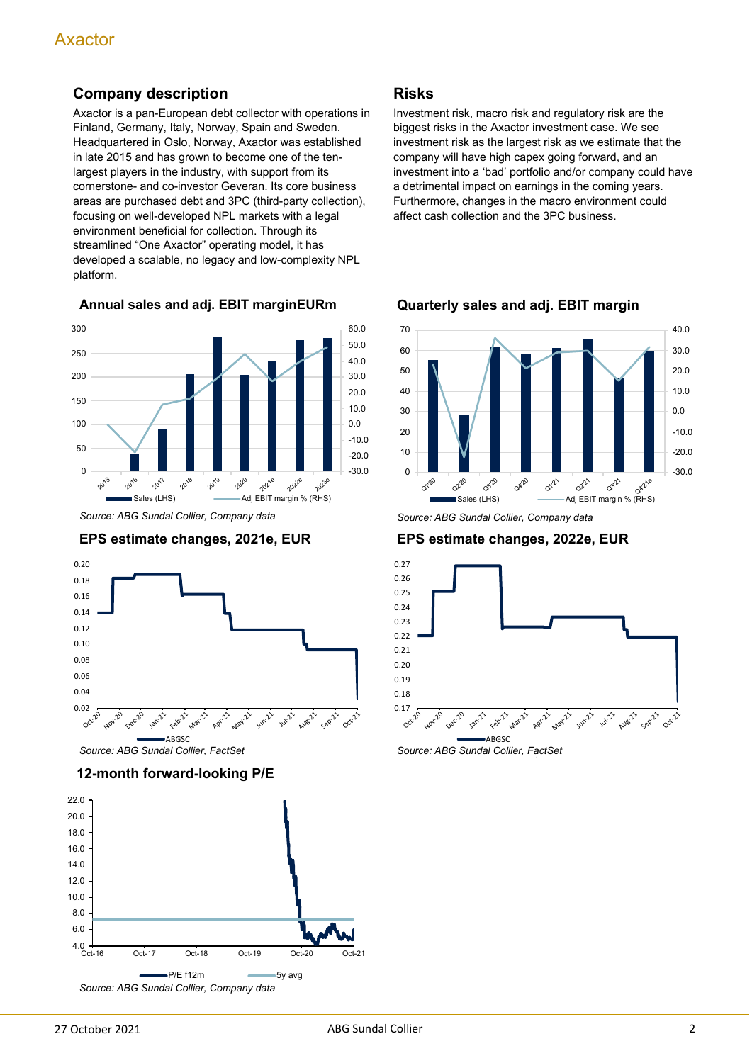### **Company description**

Axactor is a pan-European debt collector with operations in Finland, Germany, Italy, Norway, Spain and Sweden. Headquartered in Oslo, Norway, Axactor was established in late 2015 and has grown to become one of the tenlargest players in the industry, with support from its cornerstone- and co-investor Geveran. Its core business areas are purchased debt and 3PC (third-party collection), focusing on well-developed NPL markets with a legal environment beneficial for collection. Through its streamlined "One Axactor" operating model, it has developed a scalable, no legacy and low-complexity NPL platform.

**Annual sales and adj. EBIT marginEURm**



*Source: ABG Sundal Collier, Company data*





#### **12-month forward-looking P/E**



#### **Risks**

Investment risk, macro risk and regulatory risk are the biggest risks in the Axactor investment case. We see investment risk as the largest risk as we estimate that the company will have high capex going forward, and an investment into a 'bad' portfolio and/or company could have a detrimental impact on earnings in the coming years. Furthermore, changes in the macro environment could affect cash collection and the 3PC business.



**Quarterly sales and adj. EBIT margin**

*Source: ABG Sundal Collier, Company data*

**EPS estimate changes, 2022e, EUR**



*Source: ABG Sundal Collier, FactSet*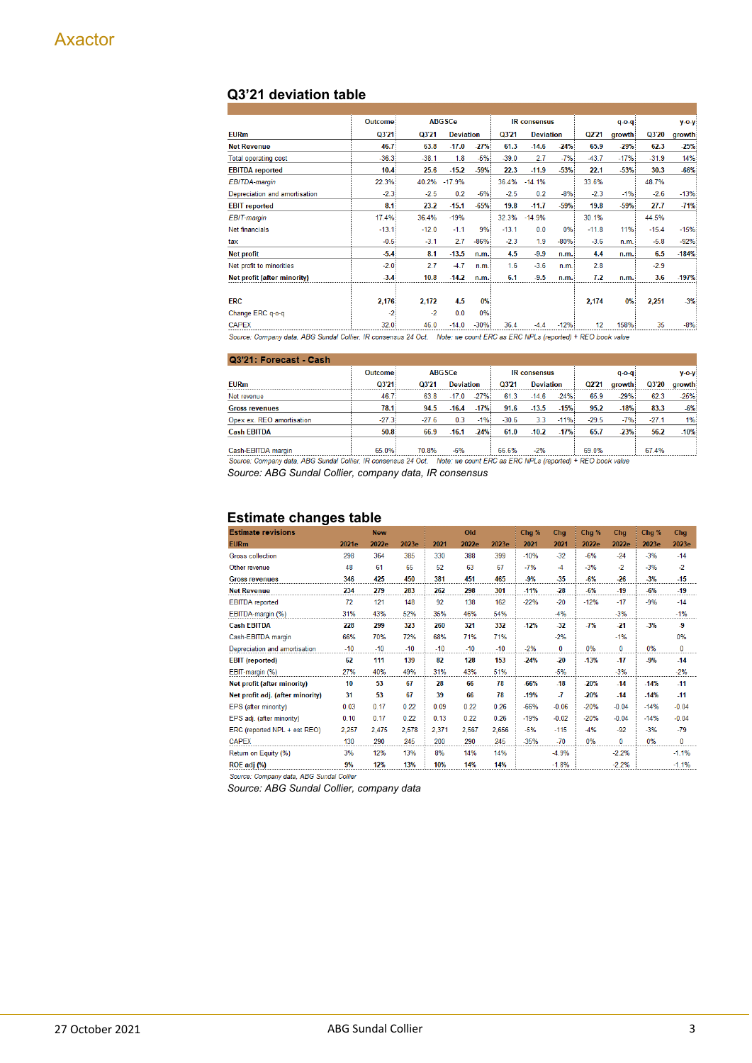### **Q3'21 deviation table**

|                                                                                                                           | <b>Outcome</b> |         | <b>ABGSCe</b>    |        |         | <b>IR</b> consensus |        |         | $q - o - q$ |         | $y$ -o- $y$ |
|---------------------------------------------------------------------------------------------------------------------------|----------------|---------|------------------|--------|---------|---------------------|--------|---------|-------------|---------|-------------|
| <b>EURm</b>                                                                                                               | Q3'21          | Q3'21   | <b>Deviation</b> |        | Q3'21   | <b>Deviation</b>    |        | Q2'21   | growth      | Q3'20   | growth      |
| <b>Net Revenue</b>                                                                                                        | 46.7           | 63.8    | $-17.0$          | $-27%$ | 61.3    | $-14.6$             | $-24%$ | 65.9    | $-29%$      | 62.3    | $-25%$      |
| <b>Total operating cost</b>                                                                                               | $-36.3$        | $-38.1$ | 1.8              | $-5%$  | $-39.0$ | 2.7                 | $-7%$  | $-43.7$ | $-17%$      | $-31.9$ | 14%         |
| <b>EBITDA</b> reported                                                                                                    | 10.4           | 25.6    | $-15.2$          | $-59%$ | 22.3    | $-11.9$             | $-53%$ | 22.1    | $-53%$      | 30.3    | -66%        |
| <b>EBITDA-margin</b>                                                                                                      | 22.3%          | 40.2%   | $-17.9%$         |        | 36.4%   | $-14.1%$            |        | 33.6%   |             | 48.7%   |             |
| Depreciation and amortisation                                                                                             | $-2.3$         | $-2.5$  | 0.2              | $-6%$  | $-2.5$  | 0.2                 | $-8%$  | $-2.3$  | $-1%$       | $-2.6$  | $-13%$      |
| <b>EBIT</b> reported                                                                                                      | 8.1            | 23.2    | $-15.1$          | $-65%$ | 19.8    | $-11.7$             | $-59%$ | 19.8    | $-59%$      | 27.7    | $-71%$      |
| EBIT-margin                                                                                                               | 17.4%          | 36.4%   | $-19%$           |        | 32.3%   | $-14.9%$            |        | 30.1%   |             | 44.5%   |             |
| Net financials                                                                                                            | $-13.1$        | $-12.0$ | $-1.1$           | 9%     | $-13.1$ | 0.0                 | 0%     | $-11.8$ | 11%         | $-15.4$ | $-15%$      |
| tax                                                                                                                       | $-0.5$         | $-3.1$  | 2.7              | $-86%$ | $-2.3$  | 1.9                 | $-80%$ | $-3.6$  | n.m.        | $-5.8$  | $-92%$      |
| <b>Net profit</b>                                                                                                         | $-5.4$         | 8.1     | $-13.5$          | n.m.   | 4.5     | $-9.9$              | n.m.   | 4.4     | n.m.        | 6.5     | $-184%$     |
| Net profit to minorities                                                                                                  | $-2.0$         | 2.7     | $-4.7$           | n.m.   | 1.6     | $-3.6$              | n.m.   | 2.8     |             | $-2.9$  |             |
| Net profit (after minority)                                                                                               | $-3.4$         | 10.8    | $-14.2$          | n.m.   | 6.1     | $-9.5$              | n.m.   | 7.2     | n.m.        | 3.6     | $-197%$     |
|                                                                                                                           |                |         |                  |        |         |                     |        |         |             |         |             |
| <b>ERC</b>                                                                                                                | 2.176          | 2,172   | 4.5              | $0\%$  |         |                     |        | 2.174   | 0%          | 2.251   | $-3%$       |
| Change ERC q-o-q                                                                                                          | $-2$           | $-2$    | 0.0              | 0%     |         |                     |        |         |             |         |             |
| <b>CAPEX</b>                                                                                                              | 32.0           | 46.0    | $-14.0$          | $-30%$ | 36.4    | $-4.4$              | $-12%$ | 12      | 158%        | 35      | $-8%$       |
| Source: Company data, ABG Sundal Collier, IR consensus 24 Oct. Note: we count ERC as ERC NPLs (reported) + REO book value |                |         |                  |        |         |                     |        |         |             |         |             |

#### Q3'21: Forecast - Cash

|                           | Outcome | <b>ABGSCe</b> |                  | <b>IR</b> consensus |         |                  |        | $q - o - q$ | $V-O-V$ |         |        |
|---------------------------|---------|---------------|------------------|---------------------|---------|------------------|--------|-------------|---------|---------|--------|
| <b>EURm</b>               | Q3'21   | Q3'21         | <b>Deviation</b> |                     | Q3'21   | <b>Deviation</b> |        | Q2'21       | arowth  | Q3'20   | growth |
| Net revenue               | 46.7    | 63.8          | $-170$           | $-27%$              | 61.3    | $-146$           | $-24%$ | 65.9        | $-29%$  | 62.3    | $-25%$ |
| <b>Gross revenues</b>     | 78.1    | 94.5          | $-16.4$          | $-17%$              | 91.6    | $-13.5$          | $-15%$ | 95.2        | $-18%$  | 83.3    | $-6%$  |
| Opex ex. REO amortisation | $-27.3$ | $-27.6$       | 0.3              | $-1%$               | $-30.6$ | 3.3              | $-11%$ | $-29.5$     | $-7%$   | $-27.1$ | 1%     |
| <b>Cash EBITDA</b>        | 50.8    | 66.9          | $-16.1$          | $-24%$              | 61.0    | $-10.2$          | $-17%$ | 65.7        | $-23%$  | 56.2    | $-10%$ |
|                           |         |               |                  |                     |         |                  |        |             |         |         |        |
| Cash-EBITDA margin        | 65.0%   | 70.8%         | $-6%$            |                     | 66.6%   | $-2%$            |        | 69.0%       |         | 67.4%   |        |

*Source: ABG Sundal Collier, company data, IR consensus*

#### **Estimate changes table**

| <b>Estimate revisions</b>        |       | <b>New</b> |       |       | Old   |       | Chg %  | Chg      | Chg %  | Chg          | Chg %  | Chg      |
|----------------------------------|-------|------------|-------|-------|-------|-------|--------|----------|--------|--------------|--------|----------|
| <b>EURm</b>                      | 2021e | 2022e      | 2023e | 2021  | 2022e | 2023e | 2021   | 2021     | 2022e  | 2022e        | 2023e  | 2023e    |
| <b>Gross collection</b>          | 298   | 364        | 385   | 330   | 388   | 399   | $-10%$ | $-32$    | $-6%$  | $-24$        | $-3%$  | $-14$    |
| Other revenue                    | 48    | 61         | 65    | 52    | 63    | 67    | $-7%$  | $-4$     | $-3%$  | $-2$         | $-3%$  | $-2$     |
| <b>Gross revenues</b>            | 346   | 425        | 450   | 381   | 451   | 465   | $-9%$  | $-35$    | $-6%$  | $-26$        | $-3%$  | $-15$    |
| <b>Net Revenue</b>               | 234   | 279        | 283   | 262   | 298   | 301   | $-11%$ | $-28$    | $-6%$  | $-19$        | $-6%$  | $-19$    |
| <b>EBITDA</b> reported           | 72    | 121        | 148   | 92    | 138   | 162   | $-22%$ | $-20$    | $-12%$ | $-17$        | $-9%$  | $-14$    |
| EBITDA-margin (%)                | 31%   | 43%        | 52%   | 35%   | 46%   | 54%   |        | $-4%$    |        | $-3%$        |        | $-1%$    |
| <b>Cash EBITDA</b>               | 228   | 299        | 323   | 260   | 321   | 332   | $-12%$ | $-32$    | $-7%$  | $-21$        | $-3%$  | -9       |
| Cash-EBITDA margin               | 66%   | 70%        | 72%   | 68%   | 71%   | 71%   |        | $-2%$    |        | $-1%$        |        | 0%       |
| Depreciation and amortisation    | $-10$ | $-10$      | $-10$ | $-10$ | $-10$ | $-10$ | $-2%$  | $\Omega$ | $0\%$  | $\mathbf{0}$ | 0%     | 0        |
| <b>EBIT</b> (reported)           | 62    | 111        | 139   | 82    | 128   | 153   | $-24%$ | $-20$    | $-13%$ | $-17$        | $-9%$  | $-14$    |
| EBIT-margin (%)                  | 27%   | 40%        | 49%   | 31%   | 43%   | 51%   |        | $-5%$    |        | $-3%$        |        | $-2%$    |
| Net profit (after minority)      | 10    | 53         | 67    | 28    | 66    | 78    | $-66%$ | $-18$    | $-20%$ | $-14$        | $-14%$ | $-11$    |
| Net profit adj. (after minority) | 31    | 53         | 67    | 39    | 66    | 78    | $-19%$ | -7       | $-20%$ | $-14$        | $-14%$ | $-11$    |
| EPS (after minority)             | 0.03  | 0.17       | 0.22  | 0.09  | 0.22  | 0.26  | $-66%$ | $-0.06$  | $-20%$ | $-0.04$      | $-14%$ | $-0.04$  |
| EPS adj. (after minority)        | 0.10  | 0.17       | 0.22  | 0.13  | 0.22  | 0.26  | $-19%$ | $-0.02$  | $-20%$ | $-0.04$      | $-14%$ | $-0.04$  |
| ERC (reported NPL + est REO)     | 2,257 | 2.475      | 2,578 | 2.371 | 2.567 | 2.656 | $-5%$  | $-115$   | $-4%$  | $-92$        | $-3%$  | $-79$    |
| <b>CAPEX</b>                     | 130   | 290        | 245   | 200   | 290   | 245   | $-35%$ | $-70$    | 0%     | 0            | 0%     | $\bf{0}$ |
| Return on Equity (%)             | 3%    | 12%        | 13%   | 8%    | 14%   | 14%   |        | $-4.9%$  |        | $-2.2%$      |        | $-1.1%$  |
| ROE adj (%)                      | 9%    | 12%        | 13%   | 10%   | 14%   | 14%   |        | $-1.8%$  |        | $-2.2%$      |        | $-1.1%$  |

Source: Company data, ABG Sundal Collier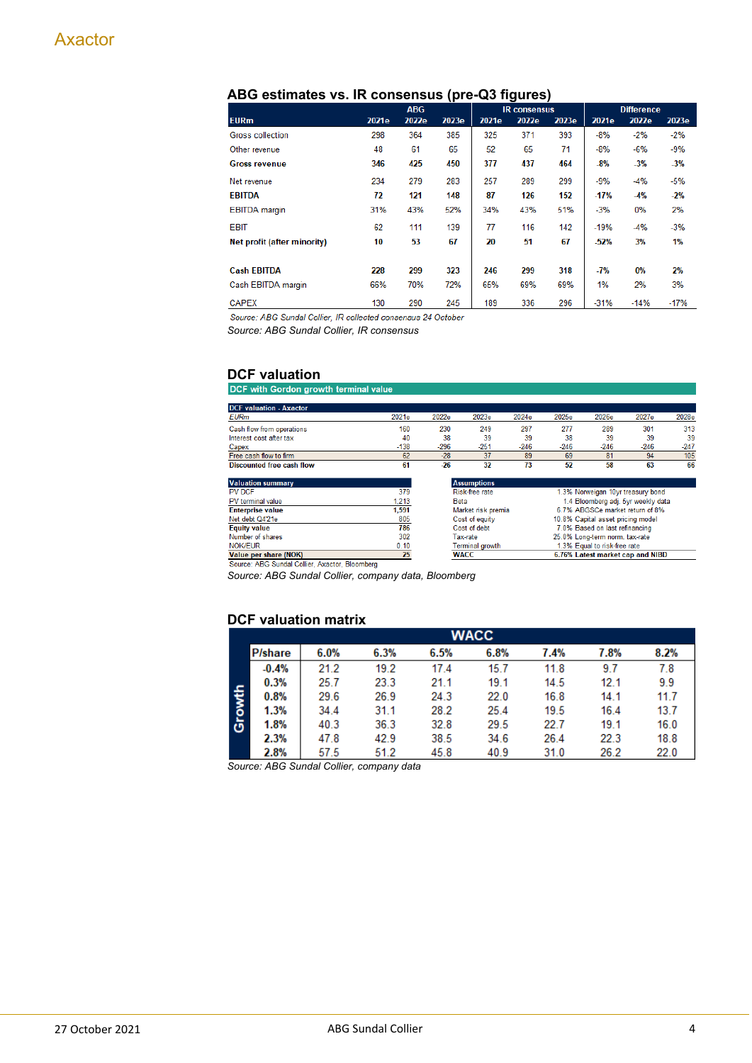|                             |       | <b>ABG</b> |       | <b>IR</b> consensus |       |       | <b>Difference</b> |        |        |
|-----------------------------|-------|------------|-------|---------------------|-------|-------|-------------------|--------|--------|
|                             |       |            |       |                     |       |       |                   |        |        |
| <b>EURm</b>                 | 2021e | 2022e      | 2023e | 2021e               | 2022e | 2023e | 2021e             | 2022e  | 2023e  |
| Gross collection            | 298   | 364        | 385   | 325                 | 371   | 393   | $-8%$             | $-2%$  | $-2\%$ |
| Other revenue               | 48    | 61         | 65    | 52                  | 65    | 71    | $-8%$             | $-6%$  | $-9%$  |
| <b>Gross revenue</b>        | 346   | 425        | 450   | 377                 | 437   | 464   | $-8%$             | $-3%$  | $-3%$  |
| Net revenue                 | 234   | 279        | 283   | 257                 | 289   | 299   | $-9%$             | $-4%$  | $-5%$  |
| <b>EBITDA</b>               | 72    | 121        | 148   | 87                  | 126   | 152   | $-17%$            | $-4%$  | $-2%$  |
| <b>EBITDA</b> margin        | 31%   | 43%        | 52%   | 34%                 | 43%   | 51%   | $-3%$             | 0%     | 2%     |
| <b>EBIT</b>                 | 62    | 111        | 139   | 77                  | 116   | 142   | $-19%$            | $-4%$  | $-3%$  |
| Net profit (after minority) | 10    | 53         | 67    | 20                  | 51    | 67    | $-52%$            | 3%     | 1%     |
|                             |       |            |       |                     |       |       |                   |        |        |
| <b>Cash EBITDA</b>          | 228   | 299        | 323   | 246                 | 299   | 318   | -7%               | 0%     | 2%     |
| Cash EBITDA margin          | 66%   | 70%        | 72%   | 65%                 | 69%   | 69%   | 1%                | 2%     | 3%     |
| <b>CAPEX</b>                | 130   | 290        | 245   | 189                 | 336   | 296   | $-31%$            | $-14%$ | $-17%$ |

#### **ABG estimates vs. IR consensus (pre-Q3 figures)**

Source: ABG Sundal Collier, IR collected consensus 24 October *Source: ABG Sundal Collier, IR consensus*

**DCF valuation**<br>DCF with Gordon growth terminal value

| <b>DCF</b> valuation - Axactor                 |        |                                                 |                    |        |                                    |                                   |        |        |  |
|------------------------------------------------|--------|-------------------------------------------------|--------------------|--------|------------------------------------|-----------------------------------|--------|--------|--|
| <b>EURm</b>                                    | 2021e  | 2022e                                           | 2023e              | 2024e  | 2025e                              | 2026e                             | 2027e  | 2028e  |  |
| Cash flow from operations                      | 160    | 230                                             | 249                | 297    | 277                                | 289                               | 301    | 313    |  |
| Interest cost after tax                        | 40     | 38                                              | 39                 | 39     | 38                                 | 39                                | 39     | 39     |  |
| Capex                                          | $-138$ | $-296$                                          | $-251$             | $-246$ | $-246$                             | $-246$                            | $-246$ | $-247$ |  |
| Free cash flow to firm                         | 62     | $-28$                                           | 37                 | 89     | 69                                 | 81                                | 94     | 105    |  |
| Discounted free cash flow                      | 61     | $-26$                                           | 32                 | 73     | 52                                 | 58                                | 63     | 66     |  |
|                                                |        |                                                 |                    |        |                                    |                                   |        |        |  |
| <b>Valuation summary</b>                       |        |                                                 | <b>Assumptions</b> |        |                                    |                                   |        |        |  |
| PV DCF                                         | 379    |                                                 | Risk-free rate     |        | 1.3% Norweigan 10yr treasury bond  |                                   |        |        |  |
| PV terminal value                              | 1.213  | <b>Beta</b>                                     |                    |        | 1.4 Bloomberg adj. 5yr weekly data |                                   |        |        |  |
| <b>Enterprise value</b>                        | 1.591  |                                                 | Market risk premia |        |                                    | 6.7% ABGSCe market return of 8%   |        |        |  |
| Net debt Q4'21e                                | 805    |                                                 | Cost of equity     |        |                                    | 10.8% Capital asset pricing model |        |        |  |
| <b>Equity value</b>                            | 786    |                                                 | Cost of debt       |        |                                    | 7.0% Based on last refinancing    |        |        |  |
| Number of shares                               | 302    |                                                 | Tax-rate           |        |                                    | 25.0% Long-term norm, tax-rate    |        |        |  |
| <b>NOK/FUR</b>                                 | 0.10   |                                                 | Terminal growth    |        |                                    | 1.3% Equal to risk-free rate      |        |        |  |
| Value per share (NOK)                          | 25     | 6.76% Latest market cap and NIBD<br><b>WACC</b> |                    |        |                                    |                                   |        |        |  |
| Source: ABG Sundal Collier, Avactor, Bloomberg |        |                                                 |                    |        |                                    |                                   |        |        |  |

rce: ABG Su I Collier, Axactor, Bloomberg

*Source: ABG Sundal Collier, company data, Bloomberg*

#### **DCF valuation matrix**

|        | <b>WACC</b>     |      |      |      |      |      |      |      |  |  |  |  |  |  |
|--------|-----------------|------|------|------|------|------|------|------|--|--|--|--|--|--|
|        | <b>P</b> /share | 6.0% | 6.3% | 6.5% | 6.8% | 7.4% | 7.8% | 8.2% |  |  |  |  |  |  |
|        | $-0.4%$         | 21.2 | 19.2 | 17.4 | 15.7 | 11.8 | 9.7  | 7.8  |  |  |  |  |  |  |
|        | 0.3%            | 25.7 | 23.3 | 21.1 | 19.1 | 14.5 | 12.1 | 9.9  |  |  |  |  |  |  |
|        | 0.8%            | 29.6 | 26.9 | 24.3 | 22.0 | 16.8 | 14.1 | 11.7 |  |  |  |  |  |  |
|        | 1.3%            | 34.4 | 31.1 | 28.2 | 25.4 | 19.5 | 16.4 | 13.7 |  |  |  |  |  |  |
| Growth | 1.8%            | 40.3 | 36.3 | 32.8 | 29.5 | 22.7 | 19.1 | 16.0 |  |  |  |  |  |  |
|        | 2.3%            | 47.8 | 42.9 | 38.5 | 34.6 | 26.4 | 22.3 | 18.8 |  |  |  |  |  |  |
|        | 2.8%            | 57.5 | 51.2 | 45.8 | 40.9 | 31.0 | 26.2 | 22.0 |  |  |  |  |  |  |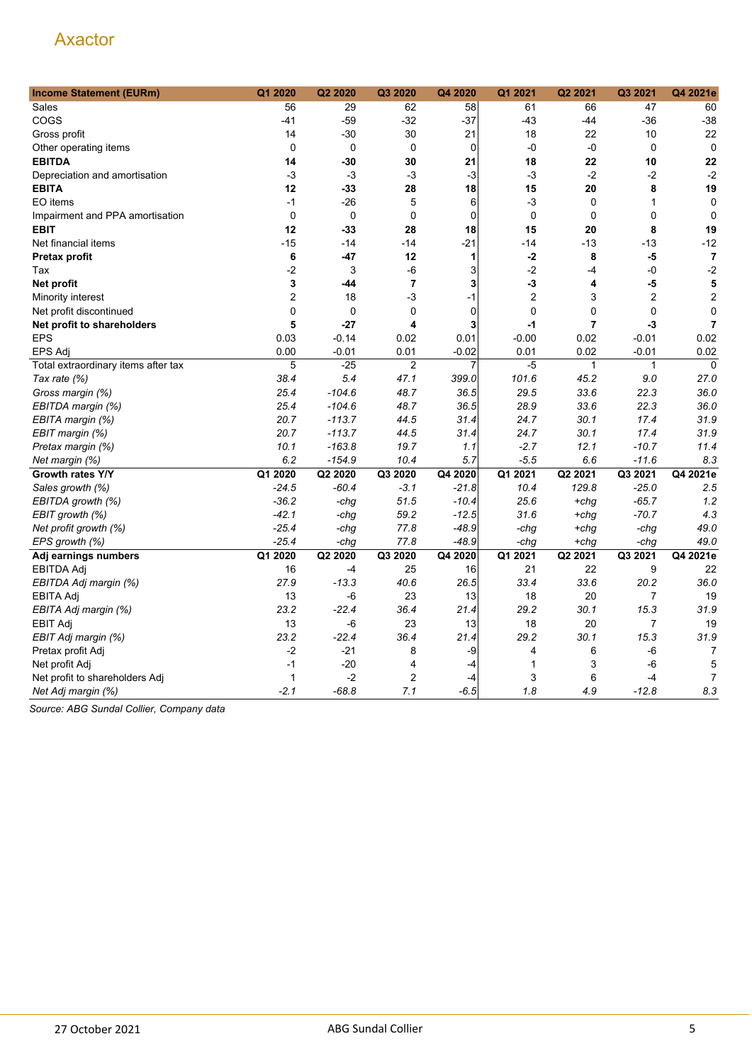| <b>Income Statement (EURm)</b>      | Q1 2020          | Q2 2020     | Q3 2020        | Q4 2020     | Q1 2021          | Q2 2021      | Q3 2021        | Q4 2021e                |
|-------------------------------------|------------------|-------------|----------------|-------------|------------------|--------------|----------------|-------------------------|
| Sales                               | 56               | 29          | 62             | 58          | 61               | 66           | 47             | 60                      |
| COGS                                | $-41$            | $-59$       | $-32$          | $-37$       | $-43$            | -44          | $-36$          | $-38$                   |
| Gross profit                        | 14               | -30         | 30             | 21          | 18               | 22           | 10             | 22                      |
| Other operating items               | $\mathbf 0$      | $\mathbf 0$ | $\mathbf 0$    | $\mathbf 0$ | $-0$             | -0           | $\mathbf 0$    | $\mathbf 0$             |
| <b>EBITDA</b>                       | 14               | -30         | 30             | 21          | 18               | 22           | 10             | 22                      |
| Depreciation and amortisation       | $-3$             | $-3$        | $-3$           | $-3$        | $-3$             | $-2$         | $-2$           | $-2$                    |
| <b>EBITA</b>                        | 12               | -33         | 28             | 18          | 15               | 20           | 8              | 19                      |
| EO items                            | $-1$             | $-26$       | 5              | 6           | $-3$             | $\mathbf 0$  | $\mathbf{1}$   | $\mathbf 0$             |
| Impairment and PPA amortisation     | $\mathbf 0$      | 0           | $\mathbf 0$    | $\mathbf 0$ | $\mathbf 0$      | $\mathbf 0$  | $\mathbf 0$    | $\mathbf 0$             |
| <b>EBIT</b>                         | 12               | -33         | 28             | 18          | 15               | 20           | 8              | 19                      |
| Net financial items                 | $-15$            | $-14$       | $-14$          | $-21$       | $-14$            | $-13$        | $-13$          | $-12$                   |
| Pretax profit                       | 6                | -47         | 12             | 1           | $-2$             | 8            | $-5$           | $\overline{7}$          |
| Tax                                 | -2               | 3           | -6             | 3           | $-2$             | $-4$         | -0             | $-2$                    |
| Net profit                          | 3                | -44         | $\overline{7}$ | 3           | $-3$             | 4            | $-5$           | 5                       |
| Minority interest                   | $\boldsymbol{2}$ | 18          | -3             | $-1$        | $\boldsymbol{2}$ | 3            | $\overline{2}$ | $\overline{\mathbf{c}}$ |
| Net profit discontinued             | $\pmb{0}$        | $\mathbf 0$ | $\mathsf 0$    | $\mathbf 0$ | $\boldsymbol{0}$ | 0            | $\overline{0}$ | $\mathbf 0$             |
| Net profit to shareholders          | 5                | $-27$       | 4              | 3           | $-1$             | 7            | $-3$           | $\overline{7}$          |
| <b>EPS</b>                          | 0.03             | $-0.14$     | 0.02           | 0.01        | $-0.00$          | 0.02         | $-0.01$        | 0.02                    |
| <b>EPS Adj</b>                      | 0.00             | $-0.01$     | 0.01           | $-0.02$     | 0.01             | 0.02         | $-0.01$        | 0.02                    |
| Total extraordinary items after tax | 5                | $-25$       | $\overline{c}$ | 7           | $-5$             | $\mathbf{1}$ | $\mathbf{1}$   | $\mathbf 0$             |
| Tax rate (%)                        | 38.4             | 5.4         | 47.1           | 399.0       | 101.6            | 45.2         | 9.0            | 27.0                    |
| Gross margin (%)                    | 25.4             | $-104.6$    | 48.7           | 36.5        | 29.5             | 33.6         | 22.3           | 36.0                    |
| EBITDA margin (%)                   | 25.4             | $-104.6$    | 48.7           | 36.5        | 28.9             | 33.6         | 22.3           | 36.0                    |
| EBITA margin (%)                    | 20.7             | $-113.7$    | 44.5           | 31.4        | 24.7             | 30.1         | 17.4           | 31.9                    |
| EBIT margin (%)                     | 20.7             | $-113.7$    | 44.5           | 31.4        | 24.7             | 30.1         | 17.4           | 31.9                    |
| Pretax margin (%)                   | 10.1             | $-163.8$    | 19.7           | 1.1         | $-2.7$           | 12.1         | $-10.7$        | 11.4                    |
| Net margin (%)                      | 6.2              | $-154.9$    | 10.4           | 5.7         | $-5.5$           | 6.6          | $-11.6$        | 8.3                     |
| Growth rates Y/Y                    | Q1 2020          | Q2 2020     | Q3 2020        | Q4 2020     | Q1 2021          | Q2 2021      | Q3 2021        | Q4 2021e                |
| Sales growth (%)                    | $-24.5$          | $-60.4$     | $-3.1$         | $-21.8$     | 10.4             | 129.8        | $-25.0$        | 2.5                     |
| EBITDA growth (%)                   | $-36.2$          | -chg        | 51.5           | $-10.4$     | 25.6             | $+chq$       | $-65.7$        | 1.2                     |
| EBIT growth (%)                     | $-42.1$          | -chg        | 59.2           | $-12.5$     | 31.6             | $+chq$       | $-70.7$        | 4.3                     |
| Net profit growth (%)               | $-25.4$          | -chg        | 77.8           | $-48.9$     | -chg             | $+chg$       | -chg           | 49.0                    |
| EPS growth (%)                      | $-25.4$          | -chg        | 77.8           | $-48.9$     | -chg             | $+chq$       | -chg           | 49.0                    |
| Adj earnings numbers                | Q1 2020          | Q2 2020     | Q3 2020        | Q4 2020     | Q1 2021          | Q2 2021      | Q3 2021        | Q4 2021e                |
| <b>EBITDA Adj</b>                   | 16               | $-4$        | 25             | 16          | 21               | 22           | 9              | 22                      |
| EBITDA Adj margin (%)               | 27.9             | $-13.3$     | 40.6           | 26.5        | 33.4             | 33.6         | 20.2           | 36.0                    |
| <b>EBITA Adj</b>                    | 13               | -6          | 23             | 13          | 18               | 20           | 7              | 19                      |
| EBITA Adj margin (%)                | 23.2             | $-22.4$     | 36.4           | 21.4        | 29.2             | 30.1         | 15.3           | 31.9                    |
| <b>EBIT Adj</b>                     | 13               | $-6$        | 23             | 13          | 18               | 20           | $\overline{7}$ | 19                      |
| EBIT Adj margin (%)                 | 23.2             | $-22.4$     | 36.4           | 21.4        | 29.2             | 30.1         | 15.3           | 31.9                    |
| Pretax profit Adj                   | $-2$             | $-21$       | 8              | -9          | 4                | 6            | -6             | 7                       |
| Net profit Adj                      | $-1$             | $-20$       | 4              | $-4$        | 1                | 3            | $-6$           | 5                       |
| Net profit to shareholders Adj      | 1                | $-2$        | $\overline{c}$ | $-4$        | 3                | 6            | $-4$           | $\overline{7}$          |
| Net Adj margin (%)                  | $-2.1$           | $-68.8$     | 7.1            | $-6.5$      | 1.8              | 4.9          | $-12.8$        | 8.3                     |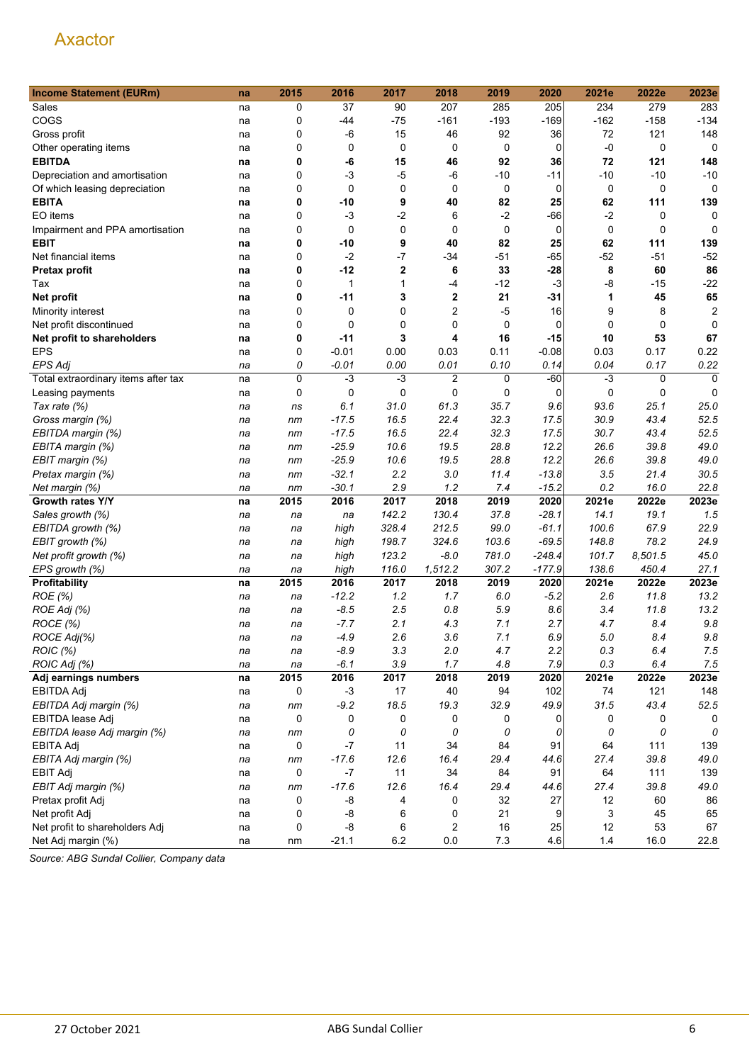| 207<br>37<br>285<br>205<br>234<br>279<br>283<br>Sales<br>0<br>90<br>na<br>$-162$<br>COGS<br>$-75$<br>$-161$<br>$-193$<br>$-169$<br>$-158$<br>$-134$<br>0<br>-44<br>na<br>$-6$<br>15<br>46<br>92<br>72<br>121<br>148<br>Gross profit<br>0<br>36<br>na<br>$\mathbf 0$<br>0<br>0<br>0<br>$-0$<br>0<br>0<br>0<br>0<br>Other operating items<br>na<br><b>EBITDA</b><br>92<br>36<br>121<br>148<br>0<br>-6<br>15<br>46<br>72<br>na<br>0<br>$-3$<br>$-5$<br>$-6$<br>$-10$<br>$-11$<br>$-10$<br>$-10$<br>$-10$<br>Depreciation and amortisation<br>na<br>0<br>0<br>0<br>0<br>0<br>0<br>0<br>0<br>0<br>Of which leasing depreciation<br>na<br>0<br>9<br>82<br>25<br>62<br><b>EBITA</b><br>-10<br>40<br>111<br>139<br>na<br>EO items<br>0<br>$-2$<br>6<br>$-2$<br>$-66$<br>$-2$<br>-3<br>0<br>0<br>na<br>$\mathbf 0$<br>0<br>0<br>$\mathbf 0$<br>0<br>0<br>Impairment and PPA amortisation<br>0<br>0<br>0<br>na<br>9<br>40<br>82<br>25<br>62<br>139<br><b>EBIT</b><br>0<br>-10<br>111<br>na<br>$-52$<br>0<br>$-2$<br>$-7$<br>$-34$<br>$-51$<br>-65<br>$-52$<br>$-51$<br>Net financial items<br>na<br>33<br>0<br>$-12$<br>$\mathbf{2}$<br>6<br>$-28$<br>8<br>60<br>86<br><b>Pretax profit</b><br>na<br>$\mathbf 0$<br>$-12$<br>$-3$<br>-8<br>$-15$<br>$-22$<br>1<br>-4<br>Tax<br>1<br>na<br>2<br>21<br>45<br>65<br>Net profit<br>0<br>-11<br>3<br>-31<br>1<br>na<br>2<br>$-5$<br>0<br>16<br>9<br>2<br>Minority interest<br>0<br>0<br>8<br>na<br>0<br>0<br>0<br>0<br>$\mathbf 0$<br>0<br>0<br>Net profit discontinued<br>0<br>$\Omega$<br>na<br>0<br>3<br>4<br>16<br>$-15$<br>53<br>67<br>Net profit to shareholders<br>$-11$<br>10<br>na<br><b>EPS</b><br>0<br>$-0.01$<br>0.11<br>$-0.08$<br>0.22<br>0.00<br>0.03<br>0.03<br>0.17<br>na<br>$-0.01$<br>0.10<br>0.22<br><b>EPS Adi</b><br>0<br>0.00<br>0.01<br>0.14<br>0.04<br>0.17<br>na<br>0<br>$-3$<br>$-3$<br>$\overline{2}$<br>0<br>$-60$<br>$-3$<br>$\mathbf 0$<br>Total extraordinary items after tax<br>0<br>na<br>0<br>0<br>0<br>0<br>0<br>0<br>0<br>$\mathbf 0$<br>0<br>Leasing payments<br>na<br>31.0<br>61.3<br>35.7<br>93.6<br>25.1<br>25.0<br>Tax rate (%)<br>6.1<br>9.6<br>na<br>ns<br>$-17.5$<br>16.5<br>22.4<br>32.3<br>17.5<br>30.9<br>43.4<br>52.5<br>Gross margin (%)<br>na<br>nm<br>22.4<br>32.3<br>30.7<br>52.5<br>EBITDA margin (%)<br>$-17.5$<br>16.5<br>17.5<br>43.4<br>na<br>nm<br>$-25.9$<br>19.5<br>28.8<br>12.2<br>26.6<br>49.0<br>EBITA margin (%)<br>10.6<br>39.8<br>nm<br>na<br>$-25.9$<br>19.5<br>28.8<br>12.2<br>26.6<br>39.8<br>49.0<br>EBIT margin (%)<br>10.6<br>na<br>nm<br>$-32.1$<br>2.2<br>3.0<br>$-13.8$<br>30.5<br>11.4<br>3.5<br>21.4<br>Pretax margin (%)<br>na<br>nm<br>$-30.1$<br>2.9<br>1.2<br>$-15.2$<br>0.2<br>16.0<br>22.8<br>7.4<br>Net margin (%)<br>nm<br>na<br>2020<br>2022e<br>2023e<br>Growth rates Y/Y<br>2015<br>2016<br>2017<br>2018<br>2019<br>2021e<br>na<br>142.2<br>130.4<br>37.8<br>$-28.1$<br>14.1<br>19.1<br>1.5<br>Sales growth (%)<br>na<br>na<br>na<br>328.4<br>212.5<br>99.0<br>100.6<br>22.9<br>EBITDA growth (%)<br>$-61.1$<br>67.9<br>high<br>na<br>na<br>24.9<br>198.7<br>324.6<br>103.6<br>$-69.5$<br>148.8<br>78.2<br>EBIT growth (%)<br>high<br>na<br>na<br>123.2<br>$-8.0$<br>781.0<br>$-248.4$<br>101.7<br>8,501.5<br>45.0<br>Net profit growth (%)<br>high<br>na<br>na<br>116.0<br>1,512.2<br>307.2<br>$-177.9$<br>138.6<br>450.4<br>27.1<br>EPS growth (%)<br>high<br>na<br>na<br>Profitability<br>2015<br>2016<br>2017<br>2018<br>2019<br>2020<br>2021e<br>2022e<br>2023e<br>na<br>1.2<br>1.7<br>$-5.2$<br>11.8<br>13.2<br>ROE (%)<br>$-12.2$<br>6.0<br>2.6<br>na<br>na<br>ROE Adj (%)<br>$-8.5$<br>2.5<br>0.8<br>5.9<br>8.6<br>3.4<br>13.2<br>11.8<br>na<br>na<br>ROCE (%)<br>2.1<br>7.1<br>2.7<br>9.8<br>$-7.7$<br>4.3<br>4.7<br>8.4<br>na<br>na<br>7.1<br>ROCE Adj(%)<br>2.6<br>3.6<br>6.9<br>9.8<br>-4.9<br>5.0<br>8.4<br>na<br>na<br>ROIC (%)<br>$-8.9$<br>3.3<br>2.0<br>4.7<br>2.2<br>$0.3\,$<br>6.4<br>7.5<br>na<br>na<br>ROIC Adj (%)<br>$-6.1$<br>3.9<br>1.7<br>7.9<br>0.3<br>6.4<br>7.5<br>4.8<br>na<br>na<br>2015<br>2018<br>2023e<br>2016<br>2017<br>2019<br>2020<br>2021e<br>2022e<br>Adj earnings numbers<br>na<br>121<br>148<br>EBITDA Adj<br>0<br>$-3$<br>17<br>40<br>94<br>102<br>74<br>na<br>$-9.2$<br>18.5<br>19.3<br>32.9<br>49.9<br>31.5<br>43.4<br>52.5<br>EBITDA Adj margin (%)<br>na<br>nm<br>0<br>0<br>EBITDA lease Adj<br>0<br>0<br>0<br>0<br>0<br>0<br>0<br>na<br>0<br>0<br>0<br>0<br>0<br>EBITDA lease Adj margin (%)<br>0<br>0<br>0<br>na<br>nm<br>0<br>34<br>84<br>91<br>139<br>EBITA Adj<br>-7<br>11<br>64<br>111<br>na<br>49.0<br>EBITA Adj margin (%)<br>$-17.6$<br>12.6<br>16.4<br>29.4<br>44.6<br>27.4<br>39.8<br>na<br>nm<br>0<br>$-7$<br>11<br>34<br>84<br>91<br>64<br>111<br>139<br><b>EBIT Adj</b><br>na<br>$-17.6$<br>12.6<br>16.4<br>29.4<br>27.4<br>39.8<br>49.0<br>EBIT Adj margin (%)<br>44.6<br>nm<br>na<br>-8<br>0<br>27<br>86<br>Pretax profit Adj<br>0<br>4<br>32<br>12<br>60<br>na<br>9<br>3<br>65<br>Net profit Adj<br>0<br>-8<br>6<br>0<br>21<br>45<br>na<br>Net profit to shareholders Adj<br>16<br>25<br>0<br>-8<br>2<br>12<br>53<br>67<br>6<br>na | <b>Income Statement (EURm)</b> | na | 2015 | 2016    | 2017 | 2018 | 2019  | 2020 | 2021e | 2022e | 2023e |
|------------------------------------------------------------------------------------------------------------------------------------------------------------------------------------------------------------------------------------------------------------------------------------------------------------------------------------------------------------------------------------------------------------------------------------------------------------------------------------------------------------------------------------------------------------------------------------------------------------------------------------------------------------------------------------------------------------------------------------------------------------------------------------------------------------------------------------------------------------------------------------------------------------------------------------------------------------------------------------------------------------------------------------------------------------------------------------------------------------------------------------------------------------------------------------------------------------------------------------------------------------------------------------------------------------------------------------------------------------------------------------------------------------------------------------------------------------------------------------------------------------------------------------------------------------------------------------------------------------------------------------------------------------------------------------------------------------------------------------------------------------------------------------------------------------------------------------------------------------------------------------------------------------------------------------------------------------------------------------------------------------------------------------------------------------------------------------------------------------------------------------------------------------------------------------------------------------------------------------------------------------------------------------------------------------------------------------------------------------------------------------------------------------------------------------------------------------------------------------------------------------------------------------------------------------------------------------------------------------------------------------------------------------------------------------------------------------------------------------------------------------------------------------------------------------------------------------------------------------------------------------------------------------------------------------------------------------------------------------------------------------------------------------------------------------------------------------------------------------------------------------------------------------------------------------------------------------------------------------------------------------------------------------------------------------------------------------------------------------------------------------------------------------------------------------------------------------------------------------------------------------------------------------------------------------------------------------------------------------------------------------------------------------------------------------------------------------------------------------------------------------------------------------------------------------------------------------------------------------------------------------------------------------------------------------------------------------------------------------------------------------------------------------------------------------------------------------------------------------------------------------------------------------------------------------------------------------------------------------------------------------------------------------------------------------------------------------------------------------------------------------------------------------------------------------------------------------------------------------------------------------------------------------------------------------------------------------------------------------------------------------------------------------------------------------------------------------------------------------------------------------------------------------------------------------------------------------------------------------------------------------------------------------------------------------------------------------------------------------------------------------------------------------------------------------------------------------------------------------------------------|--------------------------------|----|------|---------|------|------|-------|------|-------|-------|-------|
|                                                                                                                                                                                                                                                                                                                                                                                                                                                                                                                                                                                                                                                                                                                                                                                                                                                                                                                                                                                                                                                                                                                                                                                                                                                                                                                                                                                                                                                                                                                                                                                                                                                                                                                                                                                                                                                                                                                                                                                                                                                                                                                                                                                                                                                                                                                                                                                                                                                                                                                                                                                                                                                                                                                                                                                                                                                                                                                                                                                                                                                                                                                                                                                                                                                                                                                                                                                                                                                                                                                                                                                                                                                                                                                                                                                                                                                                                                                                                                                                                                                                                                                                                                                                                                                                                                                                                                                                                                                                                                                                                                                                                                                                                                                                                                                                                                                                                                                                                                                                                                                                                                                              |                                |    |      |         |      |      |       |      |       |       |       |
|                                                                                                                                                                                                                                                                                                                                                                                                                                                                                                                                                                                                                                                                                                                                                                                                                                                                                                                                                                                                                                                                                                                                                                                                                                                                                                                                                                                                                                                                                                                                                                                                                                                                                                                                                                                                                                                                                                                                                                                                                                                                                                                                                                                                                                                                                                                                                                                                                                                                                                                                                                                                                                                                                                                                                                                                                                                                                                                                                                                                                                                                                                                                                                                                                                                                                                                                                                                                                                                                                                                                                                                                                                                                                                                                                                                                                                                                                                                                                                                                                                                                                                                                                                                                                                                                                                                                                                                                                                                                                                                                                                                                                                                                                                                                                                                                                                                                                                                                                                                                                                                                                                                              |                                |    |      |         |      |      |       |      |       |       |       |
|                                                                                                                                                                                                                                                                                                                                                                                                                                                                                                                                                                                                                                                                                                                                                                                                                                                                                                                                                                                                                                                                                                                                                                                                                                                                                                                                                                                                                                                                                                                                                                                                                                                                                                                                                                                                                                                                                                                                                                                                                                                                                                                                                                                                                                                                                                                                                                                                                                                                                                                                                                                                                                                                                                                                                                                                                                                                                                                                                                                                                                                                                                                                                                                                                                                                                                                                                                                                                                                                                                                                                                                                                                                                                                                                                                                                                                                                                                                                                                                                                                                                                                                                                                                                                                                                                                                                                                                                                                                                                                                                                                                                                                                                                                                                                                                                                                                                                                                                                                                                                                                                                                                              |                                |    |      |         |      |      |       |      |       |       |       |
|                                                                                                                                                                                                                                                                                                                                                                                                                                                                                                                                                                                                                                                                                                                                                                                                                                                                                                                                                                                                                                                                                                                                                                                                                                                                                                                                                                                                                                                                                                                                                                                                                                                                                                                                                                                                                                                                                                                                                                                                                                                                                                                                                                                                                                                                                                                                                                                                                                                                                                                                                                                                                                                                                                                                                                                                                                                                                                                                                                                                                                                                                                                                                                                                                                                                                                                                                                                                                                                                                                                                                                                                                                                                                                                                                                                                                                                                                                                                                                                                                                                                                                                                                                                                                                                                                                                                                                                                                                                                                                                                                                                                                                                                                                                                                                                                                                                                                                                                                                                                                                                                                                                              |                                |    |      |         |      |      |       |      |       |       |       |
|                                                                                                                                                                                                                                                                                                                                                                                                                                                                                                                                                                                                                                                                                                                                                                                                                                                                                                                                                                                                                                                                                                                                                                                                                                                                                                                                                                                                                                                                                                                                                                                                                                                                                                                                                                                                                                                                                                                                                                                                                                                                                                                                                                                                                                                                                                                                                                                                                                                                                                                                                                                                                                                                                                                                                                                                                                                                                                                                                                                                                                                                                                                                                                                                                                                                                                                                                                                                                                                                                                                                                                                                                                                                                                                                                                                                                                                                                                                                                                                                                                                                                                                                                                                                                                                                                                                                                                                                                                                                                                                                                                                                                                                                                                                                                                                                                                                                                                                                                                                                                                                                                                                              |                                |    |      |         |      |      |       |      |       |       |       |
|                                                                                                                                                                                                                                                                                                                                                                                                                                                                                                                                                                                                                                                                                                                                                                                                                                                                                                                                                                                                                                                                                                                                                                                                                                                                                                                                                                                                                                                                                                                                                                                                                                                                                                                                                                                                                                                                                                                                                                                                                                                                                                                                                                                                                                                                                                                                                                                                                                                                                                                                                                                                                                                                                                                                                                                                                                                                                                                                                                                                                                                                                                                                                                                                                                                                                                                                                                                                                                                                                                                                                                                                                                                                                                                                                                                                                                                                                                                                                                                                                                                                                                                                                                                                                                                                                                                                                                                                                                                                                                                                                                                                                                                                                                                                                                                                                                                                                                                                                                                                                                                                                                                              |                                |    |      |         |      |      |       |      |       |       |       |
|                                                                                                                                                                                                                                                                                                                                                                                                                                                                                                                                                                                                                                                                                                                                                                                                                                                                                                                                                                                                                                                                                                                                                                                                                                                                                                                                                                                                                                                                                                                                                                                                                                                                                                                                                                                                                                                                                                                                                                                                                                                                                                                                                                                                                                                                                                                                                                                                                                                                                                                                                                                                                                                                                                                                                                                                                                                                                                                                                                                                                                                                                                                                                                                                                                                                                                                                                                                                                                                                                                                                                                                                                                                                                                                                                                                                                                                                                                                                                                                                                                                                                                                                                                                                                                                                                                                                                                                                                                                                                                                                                                                                                                                                                                                                                                                                                                                                                                                                                                                                                                                                                                                              |                                |    |      |         |      |      |       |      |       |       |       |
|                                                                                                                                                                                                                                                                                                                                                                                                                                                                                                                                                                                                                                                                                                                                                                                                                                                                                                                                                                                                                                                                                                                                                                                                                                                                                                                                                                                                                                                                                                                                                                                                                                                                                                                                                                                                                                                                                                                                                                                                                                                                                                                                                                                                                                                                                                                                                                                                                                                                                                                                                                                                                                                                                                                                                                                                                                                                                                                                                                                                                                                                                                                                                                                                                                                                                                                                                                                                                                                                                                                                                                                                                                                                                                                                                                                                                                                                                                                                                                                                                                                                                                                                                                                                                                                                                                                                                                                                                                                                                                                                                                                                                                                                                                                                                                                                                                                                                                                                                                                                                                                                                                                              |                                |    |      |         |      |      |       |      |       |       |       |
|                                                                                                                                                                                                                                                                                                                                                                                                                                                                                                                                                                                                                                                                                                                                                                                                                                                                                                                                                                                                                                                                                                                                                                                                                                                                                                                                                                                                                                                                                                                                                                                                                                                                                                                                                                                                                                                                                                                                                                                                                                                                                                                                                                                                                                                                                                                                                                                                                                                                                                                                                                                                                                                                                                                                                                                                                                                                                                                                                                                                                                                                                                                                                                                                                                                                                                                                                                                                                                                                                                                                                                                                                                                                                                                                                                                                                                                                                                                                                                                                                                                                                                                                                                                                                                                                                                                                                                                                                                                                                                                                                                                                                                                                                                                                                                                                                                                                                                                                                                                                                                                                                                                              |                                |    |      |         |      |      |       |      |       |       |       |
|                                                                                                                                                                                                                                                                                                                                                                                                                                                                                                                                                                                                                                                                                                                                                                                                                                                                                                                                                                                                                                                                                                                                                                                                                                                                                                                                                                                                                                                                                                                                                                                                                                                                                                                                                                                                                                                                                                                                                                                                                                                                                                                                                                                                                                                                                                                                                                                                                                                                                                                                                                                                                                                                                                                                                                                                                                                                                                                                                                                                                                                                                                                                                                                                                                                                                                                                                                                                                                                                                                                                                                                                                                                                                                                                                                                                                                                                                                                                                                                                                                                                                                                                                                                                                                                                                                                                                                                                                                                                                                                                                                                                                                                                                                                                                                                                                                                                                                                                                                                                                                                                                                                              |                                |    |      |         |      |      |       |      |       |       |       |
|                                                                                                                                                                                                                                                                                                                                                                                                                                                                                                                                                                                                                                                                                                                                                                                                                                                                                                                                                                                                                                                                                                                                                                                                                                                                                                                                                                                                                                                                                                                                                                                                                                                                                                                                                                                                                                                                                                                                                                                                                                                                                                                                                                                                                                                                                                                                                                                                                                                                                                                                                                                                                                                                                                                                                                                                                                                                                                                                                                                                                                                                                                                                                                                                                                                                                                                                                                                                                                                                                                                                                                                                                                                                                                                                                                                                                                                                                                                                                                                                                                                                                                                                                                                                                                                                                                                                                                                                                                                                                                                                                                                                                                                                                                                                                                                                                                                                                                                                                                                                                                                                                                                              |                                |    |      |         |      |      |       |      |       |       |       |
|                                                                                                                                                                                                                                                                                                                                                                                                                                                                                                                                                                                                                                                                                                                                                                                                                                                                                                                                                                                                                                                                                                                                                                                                                                                                                                                                                                                                                                                                                                                                                                                                                                                                                                                                                                                                                                                                                                                                                                                                                                                                                                                                                                                                                                                                                                                                                                                                                                                                                                                                                                                                                                                                                                                                                                                                                                                                                                                                                                                                                                                                                                                                                                                                                                                                                                                                                                                                                                                                                                                                                                                                                                                                                                                                                                                                                                                                                                                                                                                                                                                                                                                                                                                                                                                                                                                                                                                                                                                                                                                                                                                                                                                                                                                                                                                                                                                                                                                                                                                                                                                                                                                              |                                |    |      |         |      |      |       |      |       |       |       |
|                                                                                                                                                                                                                                                                                                                                                                                                                                                                                                                                                                                                                                                                                                                                                                                                                                                                                                                                                                                                                                                                                                                                                                                                                                                                                                                                                                                                                                                                                                                                                                                                                                                                                                                                                                                                                                                                                                                                                                                                                                                                                                                                                                                                                                                                                                                                                                                                                                                                                                                                                                                                                                                                                                                                                                                                                                                                                                                                                                                                                                                                                                                                                                                                                                                                                                                                                                                                                                                                                                                                                                                                                                                                                                                                                                                                                                                                                                                                                                                                                                                                                                                                                                                                                                                                                                                                                                                                                                                                                                                                                                                                                                                                                                                                                                                                                                                                                                                                                                                                                                                                                                                              |                                |    |      |         |      |      |       |      |       |       |       |
|                                                                                                                                                                                                                                                                                                                                                                                                                                                                                                                                                                                                                                                                                                                                                                                                                                                                                                                                                                                                                                                                                                                                                                                                                                                                                                                                                                                                                                                                                                                                                                                                                                                                                                                                                                                                                                                                                                                                                                                                                                                                                                                                                                                                                                                                                                                                                                                                                                                                                                                                                                                                                                                                                                                                                                                                                                                                                                                                                                                                                                                                                                                                                                                                                                                                                                                                                                                                                                                                                                                                                                                                                                                                                                                                                                                                                                                                                                                                                                                                                                                                                                                                                                                                                                                                                                                                                                                                                                                                                                                                                                                                                                                                                                                                                                                                                                                                                                                                                                                                                                                                                                                              |                                |    |      |         |      |      |       |      |       |       |       |
|                                                                                                                                                                                                                                                                                                                                                                                                                                                                                                                                                                                                                                                                                                                                                                                                                                                                                                                                                                                                                                                                                                                                                                                                                                                                                                                                                                                                                                                                                                                                                                                                                                                                                                                                                                                                                                                                                                                                                                                                                                                                                                                                                                                                                                                                                                                                                                                                                                                                                                                                                                                                                                                                                                                                                                                                                                                                                                                                                                                                                                                                                                                                                                                                                                                                                                                                                                                                                                                                                                                                                                                                                                                                                                                                                                                                                                                                                                                                                                                                                                                                                                                                                                                                                                                                                                                                                                                                                                                                                                                                                                                                                                                                                                                                                                                                                                                                                                                                                                                                                                                                                                                              |                                |    |      |         |      |      |       |      |       |       |       |
|                                                                                                                                                                                                                                                                                                                                                                                                                                                                                                                                                                                                                                                                                                                                                                                                                                                                                                                                                                                                                                                                                                                                                                                                                                                                                                                                                                                                                                                                                                                                                                                                                                                                                                                                                                                                                                                                                                                                                                                                                                                                                                                                                                                                                                                                                                                                                                                                                                                                                                                                                                                                                                                                                                                                                                                                                                                                                                                                                                                                                                                                                                                                                                                                                                                                                                                                                                                                                                                                                                                                                                                                                                                                                                                                                                                                                                                                                                                                                                                                                                                                                                                                                                                                                                                                                                                                                                                                                                                                                                                                                                                                                                                                                                                                                                                                                                                                                                                                                                                                                                                                                                                              |                                |    |      |         |      |      |       |      |       |       |       |
|                                                                                                                                                                                                                                                                                                                                                                                                                                                                                                                                                                                                                                                                                                                                                                                                                                                                                                                                                                                                                                                                                                                                                                                                                                                                                                                                                                                                                                                                                                                                                                                                                                                                                                                                                                                                                                                                                                                                                                                                                                                                                                                                                                                                                                                                                                                                                                                                                                                                                                                                                                                                                                                                                                                                                                                                                                                                                                                                                                                                                                                                                                                                                                                                                                                                                                                                                                                                                                                                                                                                                                                                                                                                                                                                                                                                                                                                                                                                                                                                                                                                                                                                                                                                                                                                                                                                                                                                                                                                                                                                                                                                                                                                                                                                                                                                                                                                                                                                                                                                                                                                                                                              |                                |    |      |         |      |      |       |      |       |       |       |
|                                                                                                                                                                                                                                                                                                                                                                                                                                                                                                                                                                                                                                                                                                                                                                                                                                                                                                                                                                                                                                                                                                                                                                                                                                                                                                                                                                                                                                                                                                                                                                                                                                                                                                                                                                                                                                                                                                                                                                                                                                                                                                                                                                                                                                                                                                                                                                                                                                                                                                                                                                                                                                                                                                                                                                                                                                                                                                                                                                                                                                                                                                                                                                                                                                                                                                                                                                                                                                                                                                                                                                                                                                                                                                                                                                                                                                                                                                                                                                                                                                                                                                                                                                                                                                                                                                                                                                                                                                                                                                                                                                                                                                                                                                                                                                                                                                                                                                                                                                                                                                                                                                                              |                                |    |      |         |      |      |       |      |       |       |       |
|                                                                                                                                                                                                                                                                                                                                                                                                                                                                                                                                                                                                                                                                                                                                                                                                                                                                                                                                                                                                                                                                                                                                                                                                                                                                                                                                                                                                                                                                                                                                                                                                                                                                                                                                                                                                                                                                                                                                                                                                                                                                                                                                                                                                                                                                                                                                                                                                                                                                                                                                                                                                                                                                                                                                                                                                                                                                                                                                                                                                                                                                                                                                                                                                                                                                                                                                                                                                                                                                                                                                                                                                                                                                                                                                                                                                                                                                                                                                                                                                                                                                                                                                                                                                                                                                                                                                                                                                                                                                                                                                                                                                                                                                                                                                                                                                                                                                                                                                                                                                                                                                                                                              |                                |    |      |         |      |      |       |      |       |       |       |
|                                                                                                                                                                                                                                                                                                                                                                                                                                                                                                                                                                                                                                                                                                                                                                                                                                                                                                                                                                                                                                                                                                                                                                                                                                                                                                                                                                                                                                                                                                                                                                                                                                                                                                                                                                                                                                                                                                                                                                                                                                                                                                                                                                                                                                                                                                                                                                                                                                                                                                                                                                                                                                                                                                                                                                                                                                                                                                                                                                                                                                                                                                                                                                                                                                                                                                                                                                                                                                                                                                                                                                                                                                                                                                                                                                                                                                                                                                                                                                                                                                                                                                                                                                                                                                                                                                                                                                                                                                                                                                                                                                                                                                                                                                                                                                                                                                                                                                                                                                                                                                                                                                                              |                                |    |      |         |      |      |       |      |       |       |       |
|                                                                                                                                                                                                                                                                                                                                                                                                                                                                                                                                                                                                                                                                                                                                                                                                                                                                                                                                                                                                                                                                                                                                                                                                                                                                                                                                                                                                                                                                                                                                                                                                                                                                                                                                                                                                                                                                                                                                                                                                                                                                                                                                                                                                                                                                                                                                                                                                                                                                                                                                                                                                                                                                                                                                                                                                                                                                                                                                                                                                                                                                                                                                                                                                                                                                                                                                                                                                                                                                                                                                                                                                                                                                                                                                                                                                                                                                                                                                                                                                                                                                                                                                                                                                                                                                                                                                                                                                                                                                                                                                                                                                                                                                                                                                                                                                                                                                                                                                                                                                                                                                                                                              |                                |    |      |         |      |      |       |      |       |       |       |
|                                                                                                                                                                                                                                                                                                                                                                                                                                                                                                                                                                                                                                                                                                                                                                                                                                                                                                                                                                                                                                                                                                                                                                                                                                                                                                                                                                                                                                                                                                                                                                                                                                                                                                                                                                                                                                                                                                                                                                                                                                                                                                                                                                                                                                                                                                                                                                                                                                                                                                                                                                                                                                                                                                                                                                                                                                                                                                                                                                                                                                                                                                                                                                                                                                                                                                                                                                                                                                                                                                                                                                                                                                                                                                                                                                                                                                                                                                                                                                                                                                                                                                                                                                                                                                                                                                                                                                                                                                                                                                                                                                                                                                                                                                                                                                                                                                                                                                                                                                                                                                                                                                                              |                                |    |      |         |      |      |       |      |       |       |       |
|                                                                                                                                                                                                                                                                                                                                                                                                                                                                                                                                                                                                                                                                                                                                                                                                                                                                                                                                                                                                                                                                                                                                                                                                                                                                                                                                                                                                                                                                                                                                                                                                                                                                                                                                                                                                                                                                                                                                                                                                                                                                                                                                                                                                                                                                                                                                                                                                                                                                                                                                                                                                                                                                                                                                                                                                                                                                                                                                                                                                                                                                                                                                                                                                                                                                                                                                                                                                                                                                                                                                                                                                                                                                                                                                                                                                                                                                                                                                                                                                                                                                                                                                                                                                                                                                                                                                                                                                                                                                                                                                                                                                                                                                                                                                                                                                                                                                                                                                                                                                                                                                                                                              |                                |    |      |         |      |      |       |      |       |       |       |
|                                                                                                                                                                                                                                                                                                                                                                                                                                                                                                                                                                                                                                                                                                                                                                                                                                                                                                                                                                                                                                                                                                                                                                                                                                                                                                                                                                                                                                                                                                                                                                                                                                                                                                                                                                                                                                                                                                                                                                                                                                                                                                                                                                                                                                                                                                                                                                                                                                                                                                                                                                                                                                                                                                                                                                                                                                                                                                                                                                                                                                                                                                                                                                                                                                                                                                                                                                                                                                                                                                                                                                                                                                                                                                                                                                                                                                                                                                                                                                                                                                                                                                                                                                                                                                                                                                                                                                                                                                                                                                                                                                                                                                                                                                                                                                                                                                                                                                                                                                                                                                                                                                                              |                                |    |      |         |      |      |       |      |       |       |       |
|                                                                                                                                                                                                                                                                                                                                                                                                                                                                                                                                                                                                                                                                                                                                                                                                                                                                                                                                                                                                                                                                                                                                                                                                                                                                                                                                                                                                                                                                                                                                                                                                                                                                                                                                                                                                                                                                                                                                                                                                                                                                                                                                                                                                                                                                                                                                                                                                                                                                                                                                                                                                                                                                                                                                                                                                                                                                                                                                                                                                                                                                                                                                                                                                                                                                                                                                                                                                                                                                                                                                                                                                                                                                                                                                                                                                                                                                                                                                                                                                                                                                                                                                                                                                                                                                                                                                                                                                                                                                                                                                                                                                                                                                                                                                                                                                                                                                                                                                                                                                                                                                                                                              |                                |    |      |         |      |      |       |      |       |       |       |
|                                                                                                                                                                                                                                                                                                                                                                                                                                                                                                                                                                                                                                                                                                                                                                                                                                                                                                                                                                                                                                                                                                                                                                                                                                                                                                                                                                                                                                                                                                                                                                                                                                                                                                                                                                                                                                                                                                                                                                                                                                                                                                                                                                                                                                                                                                                                                                                                                                                                                                                                                                                                                                                                                                                                                                                                                                                                                                                                                                                                                                                                                                                                                                                                                                                                                                                                                                                                                                                                                                                                                                                                                                                                                                                                                                                                                                                                                                                                                                                                                                                                                                                                                                                                                                                                                                                                                                                                                                                                                                                                                                                                                                                                                                                                                                                                                                                                                                                                                                                                                                                                                                                              |                                |    |      |         |      |      |       |      |       |       |       |
|                                                                                                                                                                                                                                                                                                                                                                                                                                                                                                                                                                                                                                                                                                                                                                                                                                                                                                                                                                                                                                                                                                                                                                                                                                                                                                                                                                                                                                                                                                                                                                                                                                                                                                                                                                                                                                                                                                                                                                                                                                                                                                                                                                                                                                                                                                                                                                                                                                                                                                                                                                                                                                                                                                                                                                                                                                                                                                                                                                                                                                                                                                                                                                                                                                                                                                                                                                                                                                                                                                                                                                                                                                                                                                                                                                                                                                                                                                                                                                                                                                                                                                                                                                                                                                                                                                                                                                                                                                                                                                                                                                                                                                                                                                                                                                                                                                                                                                                                                                                                                                                                                                                              |                                |    |      |         |      |      |       |      |       |       |       |
|                                                                                                                                                                                                                                                                                                                                                                                                                                                                                                                                                                                                                                                                                                                                                                                                                                                                                                                                                                                                                                                                                                                                                                                                                                                                                                                                                                                                                                                                                                                                                                                                                                                                                                                                                                                                                                                                                                                                                                                                                                                                                                                                                                                                                                                                                                                                                                                                                                                                                                                                                                                                                                                                                                                                                                                                                                                                                                                                                                                                                                                                                                                                                                                                                                                                                                                                                                                                                                                                                                                                                                                                                                                                                                                                                                                                                                                                                                                                                                                                                                                                                                                                                                                                                                                                                                                                                                                                                                                                                                                                                                                                                                                                                                                                                                                                                                                                                                                                                                                                                                                                                                                              |                                |    |      |         |      |      |       |      |       |       |       |
|                                                                                                                                                                                                                                                                                                                                                                                                                                                                                                                                                                                                                                                                                                                                                                                                                                                                                                                                                                                                                                                                                                                                                                                                                                                                                                                                                                                                                                                                                                                                                                                                                                                                                                                                                                                                                                                                                                                                                                                                                                                                                                                                                                                                                                                                                                                                                                                                                                                                                                                                                                                                                                                                                                                                                                                                                                                                                                                                                                                                                                                                                                                                                                                                                                                                                                                                                                                                                                                                                                                                                                                                                                                                                                                                                                                                                                                                                                                                                                                                                                                                                                                                                                                                                                                                                                                                                                                                                                                                                                                                                                                                                                                                                                                                                                                                                                                                                                                                                                                                                                                                                                                              |                                |    |      |         |      |      |       |      |       |       |       |
|                                                                                                                                                                                                                                                                                                                                                                                                                                                                                                                                                                                                                                                                                                                                                                                                                                                                                                                                                                                                                                                                                                                                                                                                                                                                                                                                                                                                                                                                                                                                                                                                                                                                                                                                                                                                                                                                                                                                                                                                                                                                                                                                                                                                                                                                                                                                                                                                                                                                                                                                                                                                                                                                                                                                                                                                                                                                                                                                                                                                                                                                                                                                                                                                                                                                                                                                                                                                                                                                                                                                                                                                                                                                                                                                                                                                                                                                                                                                                                                                                                                                                                                                                                                                                                                                                                                                                                                                                                                                                                                                                                                                                                                                                                                                                                                                                                                                                                                                                                                                                                                                                                                              |                                |    |      |         |      |      |       |      |       |       |       |
|                                                                                                                                                                                                                                                                                                                                                                                                                                                                                                                                                                                                                                                                                                                                                                                                                                                                                                                                                                                                                                                                                                                                                                                                                                                                                                                                                                                                                                                                                                                                                                                                                                                                                                                                                                                                                                                                                                                                                                                                                                                                                                                                                                                                                                                                                                                                                                                                                                                                                                                                                                                                                                                                                                                                                                                                                                                                                                                                                                                                                                                                                                                                                                                                                                                                                                                                                                                                                                                                                                                                                                                                                                                                                                                                                                                                                                                                                                                                                                                                                                                                                                                                                                                                                                                                                                                                                                                                                                                                                                                                                                                                                                                                                                                                                                                                                                                                                                                                                                                                                                                                                                                              |                                |    |      |         |      |      |       |      |       |       |       |
|                                                                                                                                                                                                                                                                                                                                                                                                                                                                                                                                                                                                                                                                                                                                                                                                                                                                                                                                                                                                                                                                                                                                                                                                                                                                                                                                                                                                                                                                                                                                                                                                                                                                                                                                                                                                                                                                                                                                                                                                                                                                                                                                                                                                                                                                                                                                                                                                                                                                                                                                                                                                                                                                                                                                                                                                                                                                                                                                                                                                                                                                                                                                                                                                                                                                                                                                                                                                                                                                                                                                                                                                                                                                                                                                                                                                                                                                                                                                                                                                                                                                                                                                                                                                                                                                                                                                                                                                                                                                                                                                                                                                                                                                                                                                                                                                                                                                                                                                                                                                                                                                                                                              |                                |    |      |         |      |      |       |      |       |       |       |
|                                                                                                                                                                                                                                                                                                                                                                                                                                                                                                                                                                                                                                                                                                                                                                                                                                                                                                                                                                                                                                                                                                                                                                                                                                                                                                                                                                                                                                                                                                                                                                                                                                                                                                                                                                                                                                                                                                                                                                                                                                                                                                                                                                                                                                                                                                                                                                                                                                                                                                                                                                                                                                                                                                                                                                                                                                                                                                                                                                                                                                                                                                                                                                                                                                                                                                                                                                                                                                                                                                                                                                                                                                                                                                                                                                                                                                                                                                                                                                                                                                                                                                                                                                                                                                                                                                                                                                                                                                                                                                                                                                                                                                                                                                                                                                                                                                                                                                                                                                                                                                                                                                                              |                                |    |      |         |      |      |       |      |       |       |       |
|                                                                                                                                                                                                                                                                                                                                                                                                                                                                                                                                                                                                                                                                                                                                                                                                                                                                                                                                                                                                                                                                                                                                                                                                                                                                                                                                                                                                                                                                                                                                                                                                                                                                                                                                                                                                                                                                                                                                                                                                                                                                                                                                                                                                                                                                                                                                                                                                                                                                                                                                                                                                                                                                                                                                                                                                                                                                                                                                                                                                                                                                                                                                                                                                                                                                                                                                                                                                                                                                                                                                                                                                                                                                                                                                                                                                                                                                                                                                                                                                                                                                                                                                                                                                                                                                                                                                                                                                                                                                                                                                                                                                                                                                                                                                                                                                                                                                                                                                                                                                                                                                                                                              |                                |    |      |         |      |      |       |      |       |       |       |
|                                                                                                                                                                                                                                                                                                                                                                                                                                                                                                                                                                                                                                                                                                                                                                                                                                                                                                                                                                                                                                                                                                                                                                                                                                                                                                                                                                                                                                                                                                                                                                                                                                                                                                                                                                                                                                                                                                                                                                                                                                                                                                                                                                                                                                                                                                                                                                                                                                                                                                                                                                                                                                                                                                                                                                                                                                                                                                                                                                                                                                                                                                                                                                                                                                                                                                                                                                                                                                                                                                                                                                                                                                                                                                                                                                                                                                                                                                                                                                                                                                                                                                                                                                                                                                                                                                                                                                                                                                                                                                                                                                                                                                                                                                                                                                                                                                                                                                                                                                                                                                                                                                                              |                                |    |      |         |      |      |       |      |       |       |       |
|                                                                                                                                                                                                                                                                                                                                                                                                                                                                                                                                                                                                                                                                                                                                                                                                                                                                                                                                                                                                                                                                                                                                                                                                                                                                                                                                                                                                                                                                                                                                                                                                                                                                                                                                                                                                                                                                                                                                                                                                                                                                                                                                                                                                                                                                                                                                                                                                                                                                                                                                                                                                                                                                                                                                                                                                                                                                                                                                                                                                                                                                                                                                                                                                                                                                                                                                                                                                                                                                                                                                                                                                                                                                                                                                                                                                                                                                                                                                                                                                                                                                                                                                                                                                                                                                                                                                                                                                                                                                                                                                                                                                                                                                                                                                                                                                                                                                                                                                                                                                                                                                                                                              |                                |    |      |         |      |      |       |      |       |       |       |
|                                                                                                                                                                                                                                                                                                                                                                                                                                                                                                                                                                                                                                                                                                                                                                                                                                                                                                                                                                                                                                                                                                                                                                                                                                                                                                                                                                                                                                                                                                                                                                                                                                                                                                                                                                                                                                                                                                                                                                                                                                                                                                                                                                                                                                                                                                                                                                                                                                                                                                                                                                                                                                                                                                                                                                                                                                                                                                                                                                                                                                                                                                                                                                                                                                                                                                                                                                                                                                                                                                                                                                                                                                                                                                                                                                                                                                                                                                                                                                                                                                                                                                                                                                                                                                                                                                                                                                                                                                                                                                                                                                                                                                                                                                                                                                                                                                                                                                                                                                                                                                                                                                                              |                                |    |      |         |      |      |       |      |       |       |       |
|                                                                                                                                                                                                                                                                                                                                                                                                                                                                                                                                                                                                                                                                                                                                                                                                                                                                                                                                                                                                                                                                                                                                                                                                                                                                                                                                                                                                                                                                                                                                                                                                                                                                                                                                                                                                                                                                                                                                                                                                                                                                                                                                                                                                                                                                                                                                                                                                                                                                                                                                                                                                                                                                                                                                                                                                                                                                                                                                                                                                                                                                                                                                                                                                                                                                                                                                                                                                                                                                                                                                                                                                                                                                                                                                                                                                                                                                                                                                                                                                                                                                                                                                                                                                                                                                                                                                                                                                                                                                                                                                                                                                                                                                                                                                                                                                                                                                                                                                                                                                                                                                                                                              |                                |    |      |         |      |      |       |      |       |       |       |
|                                                                                                                                                                                                                                                                                                                                                                                                                                                                                                                                                                                                                                                                                                                                                                                                                                                                                                                                                                                                                                                                                                                                                                                                                                                                                                                                                                                                                                                                                                                                                                                                                                                                                                                                                                                                                                                                                                                                                                                                                                                                                                                                                                                                                                                                                                                                                                                                                                                                                                                                                                                                                                                                                                                                                                                                                                                                                                                                                                                                                                                                                                                                                                                                                                                                                                                                                                                                                                                                                                                                                                                                                                                                                                                                                                                                                                                                                                                                                                                                                                                                                                                                                                                                                                                                                                                                                                                                                                                                                                                                                                                                                                                                                                                                                                                                                                                                                                                                                                                                                                                                                                                              |                                |    |      |         |      |      |       |      |       |       |       |
|                                                                                                                                                                                                                                                                                                                                                                                                                                                                                                                                                                                                                                                                                                                                                                                                                                                                                                                                                                                                                                                                                                                                                                                                                                                                                                                                                                                                                                                                                                                                                                                                                                                                                                                                                                                                                                                                                                                                                                                                                                                                                                                                                                                                                                                                                                                                                                                                                                                                                                                                                                                                                                                                                                                                                                                                                                                                                                                                                                                                                                                                                                                                                                                                                                                                                                                                                                                                                                                                                                                                                                                                                                                                                                                                                                                                                                                                                                                                                                                                                                                                                                                                                                                                                                                                                                                                                                                                                                                                                                                                                                                                                                                                                                                                                                                                                                                                                                                                                                                                                                                                                                                              |                                |    |      |         |      |      |       |      |       |       |       |
|                                                                                                                                                                                                                                                                                                                                                                                                                                                                                                                                                                                                                                                                                                                                                                                                                                                                                                                                                                                                                                                                                                                                                                                                                                                                                                                                                                                                                                                                                                                                                                                                                                                                                                                                                                                                                                                                                                                                                                                                                                                                                                                                                                                                                                                                                                                                                                                                                                                                                                                                                                                                                                                                                                                                                                                                                                                                                                                                                                                                                                                                                                                                                                                                                                                                                                                                                                                                                                                                                                                                                                                                                                                                                                                                                                                                                                                                                                                                                                                                                                                                                                                                                                                                                                                                                                                                                                                                                                                                                                                                                                                                                                                                                                                                                                                                                                                                                                                                                                                                                                                                                                                              |                                |    |      |         |      |      |       |      |       |       |       |
|                                                                                                                                                                                                                                                                                                                                                                                                                                                                                                                                                                                                                                                                                                                                                                                                                                                                                                                                                                                                                                                                                                                                                                                                                                                                                                                                                                                                                                                                                                                                                                                                                                                                                                                                                                                                                                                                                                                                                                                                                                                                                                                                                                                                                                                                                                                                                                                                                                                                                                                                                                                                                                                                                                                                                                                                                                                                                                                                                                                                                                                                                                                                                                                                                                                                                                                                                                                                                                                                                                                                                                                                                                                                                                                                                                                                                                                                                                                                                                                                                                                                                                                                                                                                                                                                                                                                                                                                                                                                                                                                                                                                                                                                                                                                                                                                                                                                                                                                                                                                                                                                                                                              |                                |    |      |         |      |      |       |      |       |       |       |
|                                                                                                                                                                                                                                                                                                                                                                                                                                                                                                                                                                                                                                                                                                                                                                                                                                                                                                                                                                                                                                                                                                                                                                                                                                                                                                                                                                                                                                                                                                                                                                                                                                                                                                                                                                                                                                                                                                                                                                                                                                                                                                                                                                                                                                                                                                                                                                                                                                                                                                                                                                                                                                                                                                                                                                                                                                                                                                                                                                                                                                                                                                                                                                                                                                                                                                                                                                                                                                                                                                                                                                                                                                                                                                                                                                                                                                                                                                                                                                                                                                                                                                                                                                                                                                                                                                                                                                                                                                                                                                                                                                                                                                                                                                                                                                                                                                                                                                                                                                                                                                                                                                                              |                                |    |      |         |      |      |       |      |       |       |       |
|                                                                                                                                                                                                                                                                                                                                                                                                                                                                                                                                                                                                                                                                                                                                                                                                                                                                                                                                                                                                                                                                                                                                                                                                                                                                                                                                                                                                                                                                                                                                                                                                                                                                                                                                                                                                                                                                                                                                                                                                                                                                                                                                                                                                                                                                                                                                                                                                                                                                                                                                                                                                                                                                                                                                                                                                                                                                                                                                                                                                                                                                                                                                                                                                                                                                                                                                                                                                                                                                                                                                                                                                                                                                                                                                                                                                                                                                                                                                                                                                                                                                                                                                                                                                                                                                                                                                                                                                                                                                                                                                                                                                                                                                                                                                                                                                                                                                                                                                                                                                                                                                                                                              |                                |    |      |         |      |      |       |      |       |       |       |
|                                                                                                                                                                                                                                                                                                                                                                                                                                                                                                                                                                                                                                                                                                                                                                                                                                                                                                                                                                                                                                                                                                                                                                                                                                                                                                                                                                                                                                                                                                                                                                                                                                                                                                                                                                                                                                                                                                                                                                                                                                                                                                                                                                                                                                                                                                                                                                                                                                                                                                                                                                                                                                                                                                                                                                                                                                                                                                                                                                                                                                                                                                                                                                                                                                                                                                                                                                                                                                                                                                                                                                                                                                                                                                                                                                                                                                                                                                                                                                                                                                                                                                                                                                                                                                                                                                                                                                                                                                                                                                                                                                                                                                                                                                                                                                                                                                                                                                                                                                                                                                                                                                                              |                                |    |      |         |      |      |       |      |       |       |       |
|                                                                                                                                                                                                                                                                                                                                                                                                                                                                                                                                                                                                                                                                                                                                                                                                                                                                                                                                                                                                                                                                                                                                                                                                                                                                                                                                                                                                                                                                                                                                                                                                                                                                                                                                                                                                                                                                                                                                                                                                                                                                                                                                                                                                                                                                                                                                                                                                                                                                                                                                                                                                                                                                                                                                                                                                                                                                                                                                                                                                                                                                                                                                                                                                                                                                                                                                                                                                                                                                                                                                                                                                                                                                                                                                                                                                                                                                                                                                                                                                                                                                                                                                                                                                                                                                                                                                                                                                                                                                                                                                                                                                                                                                                                                                                                                                                                                                                                                                                                                                                                                                                                                              |                                |    |      |         |      |      |       |      |       |       |       |
|                                                                                                                                                                                                                                                                                                                                                                                                                                                                                                                                                                                                                                                                                                                                                                                                                                                                                                                                                                                                                                                                                                                                                                                                                                                                                                                                                                                                                                                                                                                                                                                                                                                                                                                                                                                                                                                                                                                                                                                                                                                                                                                                                                                                                                                                                                                                                                                                                                                                                                                                                                                                                                                                                                                                                                                                                                                                                                                                                                                                                                                                                                                                                                                                                                                                                                                                                                                                                                                                                                                                                                                                                                                                                                                                                                                                                                                                                                                                                                                                                                                                                                                                                                                                                                                                                                                                                                                                                                                                                                                                                                                                                                                                                                                                                                                                                                                                                                                                                                                                                                                                                                                              |                                |    |      |         |      |      |       |      |       |       |       |
|                                                                                                                                                                                                                                                                                                                                                                                                                                                                                                                                                                                                                                                                                                                                                                                                                                                                                                                                                                                                                                                                                                                                                                                                                                                                                                                                                                                                                                                                                                                                                                                                                                                                                                                                                                                                                                                                                                                                                                                                                                                                                                                                                                                                                                                                                                                                                                                                                                                                                                                                                                                                                                                                                                                                                                                                                                                                                                                                                                                                                                                                                                                                                                                                                                                                                                                                                                                                                                                                                                                                                                                                                                                                                                                                                                                                                                                                                                                                                                                                                                                                                                                                                                                                                                                                                                                                                                                                                                                                                                                                                                                                                                                                                                                                                                                                                                                                                                                                                                                                                                                                                                                              |                                |    |      |         |      |      |       |      |       |       |       |
|                                                                                                                                                                                                                                                                                                                                                                                                                                                                                                                                                                                                                                                                                                                                                                                                                                                                                                                                                                                                                                                                                                                                                                                                                                                                                                                                                                                                                                                                                                                                                                                                                                                                                                                                                                                                                                                                                                                                                                                                                                                                                                                                                                                                                                                                                                                                                                                                                                                                                                                                                                                                                                                                                                                                                                                                                                                                                                                                                                                                                                                                                                                                                                                                                                                                                                                                                                                                                                                                                                                                                                                                                                                                                                                                                                                                                                                                                                                                                                                                                                                                                                                                                                                                                                                                                                                                                                                                                                                                                                                                                                                                                                                                                                                                                                                                                                                                                                                                                                                                                                                                                                                              |                                |    |      |         |      |      |       |      |       |       |       |
|                                                                                                                                                                                                                                                                                                                                                                                                                                                                                                                                                                                                                                                                                                                                                                                                                                                                                                                                                                                                                                                                                                                                                                                                                                                                                                                                                                                                                                                                                                                                                                                                                                                                                                                                                                                                                                                                                                                                                                                                                                                                                                                                                                                                                                                                                                                                                                                                                                                                                                                                                                                                                                                                                                                                                                                                                                                                                                                                                                                                                                                                                                                                                                                                                                                                                                                                                                                                                                                                                                                                                                                                                                                                                                                                                                                                                                                                                                                                                                                                                                                                                                                                                                                                                                                                                                                                                                                                                                                                                                                                                                                                                                                                                                                                                                                                                                                                                                                                                                                                                                                                                                                              |                                |    |      |         |      |      |       |      |       |       |       |
|                                                                                                                                                                                                                                                                                                                                                                                                                                                                                                                                                                                                                                                                                                                                                                                                                                                                                                                                                                                                                                                                                                                                                                                                                                                                                                                                                                                                                                                                                                                                                                                                                                                                                                                                                                                                                                                                                                                                                                                                                                                                                                                                                                                                                                                                                                                                                                                                                                                                                                                                                                                                                                                                                                                                                                                                                                                                                                                                                                                                                                                                                                                                                                                                                                                                                                                                                                                                                                                                                                                                                                                                                                                                                                                                                                                                                                                                                                                                                                                                                                                                                                                                                                                                                                                                                                                                                                                                                                                                                                                                                                                                                                                                                                                                                                                                                                                                                                                                                                                                                                                                                                                              |                                |    |      |         |      |      |       |      |       |       |       |
|                                                                                                                                                                                                                                                                                                                                                                                                                                                                                                                                                                                                                                                                                                                                                                                                                                                                                                                                                                                                                                                                                                                                                                                                                                                                                                                                                                                                                                                                                                                                                                                                                                                                                                                                                                                                                                                                                                                                                                                                                                                                                                                                                                                                                                                                                                                                                                                                                                                                                                                                                                                                                                                                                                                                                                                                                                                                                                                                                                                                                                                                                                                                                                                                                                                                                                                                                                                                                                                                                                                                                                                                                                                                                                                                                                                                                                                                                                                                                                                                                                                                                                                                                                                                                                                                                                                                                                                                                                                                                                                                                                                                                                                                                                                                                                                                                                                                                                                                                                                                                                                                                                                              |                                |    |      |         |      |      |       |      |       |       |       |
|                                                                                                                                                                                                                                                                                                                                                                                                                                                                                                                                                                                                                                                                                                                                                                                                                                                                                                                                                                                                                                                                                                                                                                                                                                                                                                                                                                                                                                                                                                                                                                                                                                                                                                                                                                                                                                                                                                                                                                                                                                                                                                                                                                                                                                                                                                                                                                                                                                                                                                                                                                                                                                                                                                                                                                                                                                                                                                                                                                                                                                                                                                                                                                                                                                                                                                                                                                                                                                                                                                                                                                                                                                                                                                                                                                                                                                                                                                                                                                                                                                                                                                                                                                                                                                                                                                                                                                                                                                                                                                                                                                                                                                                                                                                                                                                                                                                                                                                                                                                                                                                                                                                              |                                |    |      |         |      |      |       |      |       |       |       |
|                                                                                                                                                                                                                                                                                                                                                                                                                                                                                                                                                                                                                                                                                                                                                                                                                                                                                                                                                                                                                                                                                                                                                                                                                                                                                                                                                                                                                                                                                                                                                                                                                                                                                                                                                                                                                                                                                                                                                                                                                                                                                                                                                                                                                                                                                                                                                                                                                                                                                                                                                                                                                                                                                                                                                                                                                                                                                                                                                                                                                                                                                                                                                                                                                                                                                                                                                                                                                                                                                                                                                                                                                                                                                                                                                                                                                                                                                                                                                                                                                                                                                                                                                                                                                                                                                                                                                                                                                                                                                                                                                                                                                                                                                                                                                                                                                                                                                                                                                                                                                                                                                                                              |                                |    |      |         |      |      |       |      |       |       |       |
|                                                                                                                                                                                                                                                                                                                                                                                                                                                                                                                                                                                                                                                                                                                                                                                                                                                                                                                                                                                                                                                                                                                                                                                                                                                                                                                                                                                                                                                                                                                                                                                                                                                                                                                                                                                                                                                                                                                                                                                                                                                                                                                                                                                                                                                                                                                                                                                                                                                                                                                                                                                                                                                                                                                                                                                                                                                                                                                                                                                                                                                                                                                                                                                                                                                                                                                                                                                                                                                                                                                                                                                                                                                                                                                                                                                                                                                                                                                                                                                                                                                                                                                                                                                                                                                                                                                                                                                                                                                                                                                                                                                                                                                                                                                                                                                                                                                                                                                                                                                                                                                                                                                              |                                |    |      |         |      |      |       |      |       |       |       |
|                                                                                                                                                                                                                                                                                                                                                                                                                                                                                                                                                                                                                                                                                                                                                                                                                                                                                                                                                                                                                                                                                                                                                                                                                                                                                                                                                                                                                                                                                                                                                                                                                                                                                                                                                                                                                                                                                                                                                                                                                                                                                                                                                                                                                                                                                                                                                                                                                                                                                                                                                                                                                                                                                                                                                                                                                                                                                                                                                                                                                                                                                                                                                                                                                                                                                                                                                                                                                                                                                                                                                                                                                                                                                                                                                                                                                                                                                                                                                                                                                                                                                                                                                                                                                                                                                                                                                                                                                                                                                                                                                                                                                                                                                                                                                                                                                                                                                                                                                                                                                                                                                                                              | Net Adj margin (%)             | na | nm   | $-21.1$ | 6.2  | 0.0  | $7.3$ | 4.6  | 1.4   | 16.0  | 22.8  |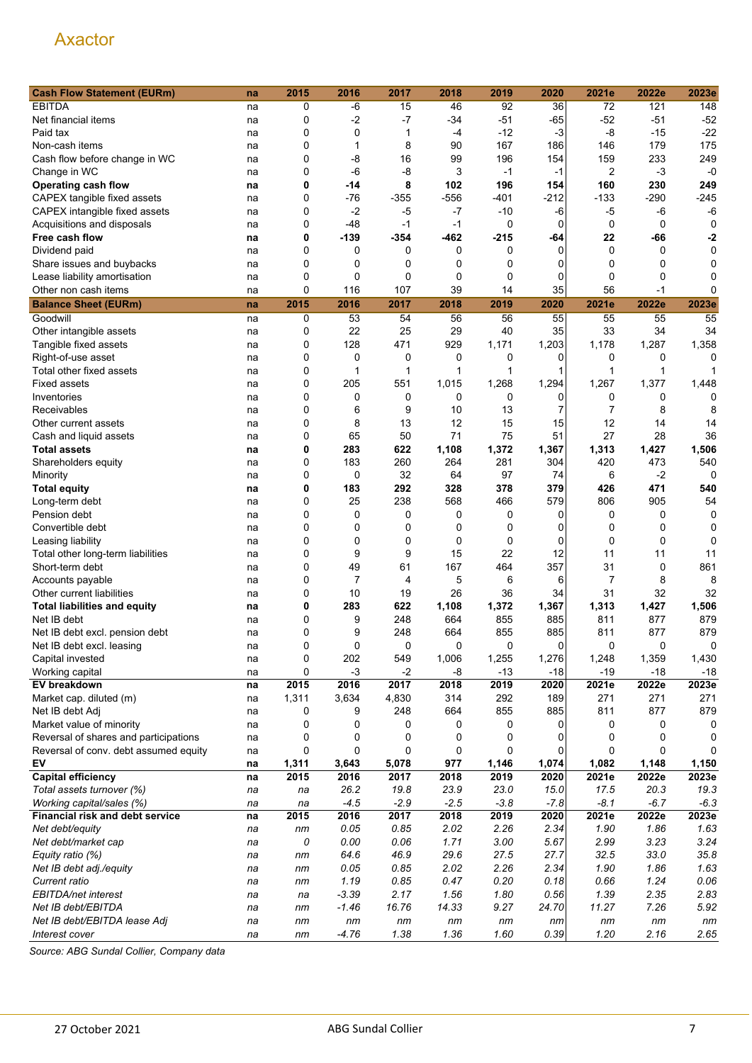| <b>Cash Flow Statement (EURm)</b>     | na | 2015  | 2016           | 2017   | 2018        | 2019        | 2020     | 2021e          | 2022e       | 2023e  |
|---------------------------------------|----|-------|----------------|--------|-------------|-------------|----------|----------------|-------------|--------|
| <b>EBITDA</b>                         | na | 0     | -6             | 15     | 46          | 92          | 36       | 72             | 121         | 148    |
| Net financial items                   | na | 0     | $-2$           | $-7$   | $-34$       | $-51$       | $-65$    | $-52$          | $-51$       | $-52$  |
| Paid tax                              | na | 0     | $\mathbf 0$    | 1      | -4          | $-12$       | $-3$     | -8             | $-15$       | $-22$  |
| Non-cash items                        | na | 0     | 1              | 8      | 90          | 167         | 186      | 146            | 179         | 175    |
| Cash flow before change in WC         | na | 0     | -8             | 16     | 99          | 196         | 154      | 159            | 233         | 249    |
| Change in WC                          | na | 0     | -6             | $-8$   | 3           | $-1$        | $-1$     | $\overline{2}$ | $-3$        | $-0$   |
| Operating cash flow                   | na | 0     | -14            | 8      | 102         | 196         | 154      | 160            | 230         | 249    |
| CAPEX tangible fixed assets           | na | 0     | -76            | $-355$ | $-556$      | -401        | -212     | -133           | -290        | $-245$ |
| CAPEX intangible fixed assets         | na | 0     | $-2$           | -5     | $-7$        | $-10$       | -6       | -5             | -6          | $-6$   |
| Acquisitions and disposals            | na | 0     | $-48$          | $-1$   | $-1$        | 0           | 0        | 0              | 0           | 0      |
| Free cash flow                        | na | 0     | $-139$         | $-354$ | $-462$      | $-215$      | -64      | 22             | -66         | -2     |
| Dividend paid                         | na | 0     | 0              | 0      | 0           | 0           | $\Omega$ | 0              | 0           | 0      |
| Share issues and buybacks             | na | 0     | 0              | 0      | 0           | 0           | 0        | 0              | 0           | 0      |
| Lease liability amortisation          | na | 0     | 0              | 0      | 0           | 0           | 0        | $\mathbf 0$    | $\mathbf 0$ | 0      |
| Other non cash items                  | na | 0     | 116            | 107    | 39          | 14          | 35       | 56             | $-1$        | 0      |
|                                       |    |       |                |        |             |             |          |                |             |        |
| <b>Balance Sheet (EURm)</b>           | na | 2015  | 2016           | 2017   | 2018        | 2019        | 2020     | 2021e          | 2022e       | 2023e  |
| Goodwill                              | na | 0     | 53             | 54     | 56          | 56          | 55       | 55             | 55          | 55     |
| Other intangible assets               | na | 0     | 22             | 25     | 29          | 40          | 35       | 33             | 34          | 34     |
| Tangible fixed assets                 | na | 0     | 128            | 471    | 929         | 1,171       | 1,203    | 1,178          | 1,287       | 1,358  |
| Right-of-use asset                    | na | 0     | 0              | 0      | 0           | 0           | 0        | 0              | 0           | 0      |
| Total other fixed assets              | na | 0     | 1              | 1      | 1           | 1           | 1        | 1              | 1           |        |
| <b>Fixed assets</b>                   | na | 0     | 205            | 551    | 1,015       | 1,268       | 1,294    | 1,267          | 1,377       | 1,448  |
| Inventories                           | na | 0     | 0              | 0      | 0           | $\mathbf 0$ | 0        | 0              | 0           | 0      |
| Receivables                           | na | 0     | 6              | 9      | 10          | 13          | 7        | $\overline{7}$ | 8           | 8      |
| Other current assets                  | na | 0     | 8              | 13     | 12          | 15          | 15       | 12             | 14          | 14     |
| Cash and liquid assets                | na | 0     | 65             | 50     | 71          | 75          | 51       | 27             | 28          | 36     |
| <b>Total assets</b>                   | na | 0     | 283            | 622    | 1,108       | 1,372       | 1,367    | 1,313          | 1,427       | 1,506  |
| Shareholders equity                   | na | 0     | 183            | 260    | 264         | 281         | 304      | 420            | 473         | 540    |
| Minority                              | na | 0     | $\mathbf 0$    | 32     | 64          | 97          | 74       | 6              | $-2$        | 0      |
| <b>Total equity</b>                   | na | 0     | 183            | 292    | 328         | 378         | 379      | 426            | 471         | 540    |
| Long-term debt                        | na | 0     | 25             | 238    | 568         | 466         | 579      | 806            | 905         | 54     |
| Pension debt                          | na | 0     | 0              | 0      | 0           | 0           | 0        | 0              | 0           | 0      |
| Convertible debt                      | na | 0     | 0              | 0      | 0           | 0           | 0        | 0              | 0           | 0      |
| Leasing liability                     | na | 0     | 0              | 0      | $\mathbf 0$ | 0           | 0        | 0              | 0           | 0      |
| Total other long-term liabilities     | na | 0     | 9              | 9      | 15          | 22          | 12       | 11             | 11          | 11     |
| Short-term debt                       | na | 0     | 49             | 61     | 167         | 464         | 357      | 31             | 0           | 861    |
| Accounts payable                      | na | 0     | $\overline{7}$ | 4      | 5           | 6           | 6        | $\overline{7}$ | 8           | 8      |
| Other current liabilities             | na | 0     | 10             | 19     | 26          | 36          | 34       | 31             | 32          | 32     |
| <b>Total liabilities and equity</b>   | na | 0     | 283            | 622    | 1,108       | 1,372       | 1,367    | 1,313          | 1,427       | 1,506  |
| Net IB debt                           | na | 0     | 9              | 248    | 664         | 855         | 885      | 811            | 877         | 879    |
| Net IB debt excl. pension debt        | na | 0     | 9              | 248    | 664         | 855         | 885      | 811            | 877         | 879    |
| Net IB debt excl. leasing             | na | 0     | 0              | 0      | 0           | 0           | $\Omega$ | $\Omega$       | $\Omega$    | 0      |
| Capital invested                      | na | 0     | 202            | 549    | 1,006       | 1,255       | 1,276    | 1,248          | 1,359       | 1,430  |
| Working capital                       | na | 0     | $-3$           | $-2$   | -8          | $-13$       | $-18$    | $-19$          | $-18$       | $-18$  |
| EV breakdown                          | na | 2015  | 2016           | 2017   | 2018        | 2019        | 2020     | 2021e          | 2022e       | 2023e  |
| Market cap. diluted (m)               | na | 1,311 | 3,634          | 4,830  | 314         | 292         | 189      | 271            | 271         | 271    |
| Net IB debt Adj                       | na | 0     | 9              | 248    | 664         | 855         | 885      | 811            | 877         | 879    |
| Market value of minority              | na | 0     | 0              | 0      | 0           | 0           | 0        | 0              | 0           | 0      |
| Reversal of shares and participations | na | 0     | 0              | 0      | 0           | 0           | 0        | 0              | 0           | 0      |
| Reversal of conv. debt assumed equity | na | 0     | $\mathbf 0$    | 0      | 0           | $\mathbf 0$ | 0        | 0              | 0           |        |
| EV                                    | na | 1,311 | 3,643          | 5,078  | 977         | 1,146       | 1,074    | 1,082          | 1,148       | 1,150  |
| <b>Capital efficiency</b>             | na | 2015  | 2016           | 2017   | 2018        | 2019        | 2020     | 2021e          | 2022e       | 2023e  |
| Total assets turnover (%)             | na | na    | 26.2           | 19.8   | 23.9        | 23.0        | 15.0     | 17.5           | 20.3        | 19.3   |
| Working capital/sales (%)             | na | na    | $-4.5$         | $-2.9$ | $-2.5$      | $-3.8$      | $-7.8$   | $-8.1$         | $-6.7$      | $-6.3$ |
| Financial risk and debt service       | na | 2015  | 2016           | 2017   | 2018        | 2019        | 2020     | 2021e          | 2022e       | 2023e  |
| Net debt/equity                       | na | nm    | 0.05           | 0.85   | 2.02        | 2.26        | 2.34     | 1.90           | 1.86        | 1.63   |
| Net debt/market cap                   | na | 0     | 0.00           | 0.06   | 1.71        | 3.00        | 5.67     | 2.99           | 3.23        | 3.24   |
| Equity ratio (%)                      | na | nm    | 64.6           | 46.9   | 29.6        | 27.5        | 27.7     | 32.5           | 33.0        | 35.8   |
| Net IB debt adj./equity               | na | nm    | 0.05           | 0.85   | 2.02        | 2.26        | 2.34     | 1.90           | 1.86        | 1.63   |
| Current ratio                         | na | nm    | 1.19           | 0.85   | 0.47        | 0.20        | 0.18     | 0.66           | 1.24        | 0.06   |
| EBITDA/net interest                   | na | na    | $-3.39$        | 2.17   | 1.56        | 1.80        | 0.56     | 1.39           | 2.35        | 2.83   |
| Net IB debt/EBITDA                    | na | nm    | $-1.46$        | 16.76  | 14.33       | 9.27        | 24.70    | 11.27          | 7.26        | 5.92   |
| Net IB debt/EBITDA lease Adj          | na | nm    | nm             | nm     | nm          | nm          | nm       | nm             | nm          | nm     |
| Interest cover                        | na | nm    | $-4.76$        | 1.38   | 1.36        | 1.60        | 0.39     | 1.20           | 2.16        | 2.65   |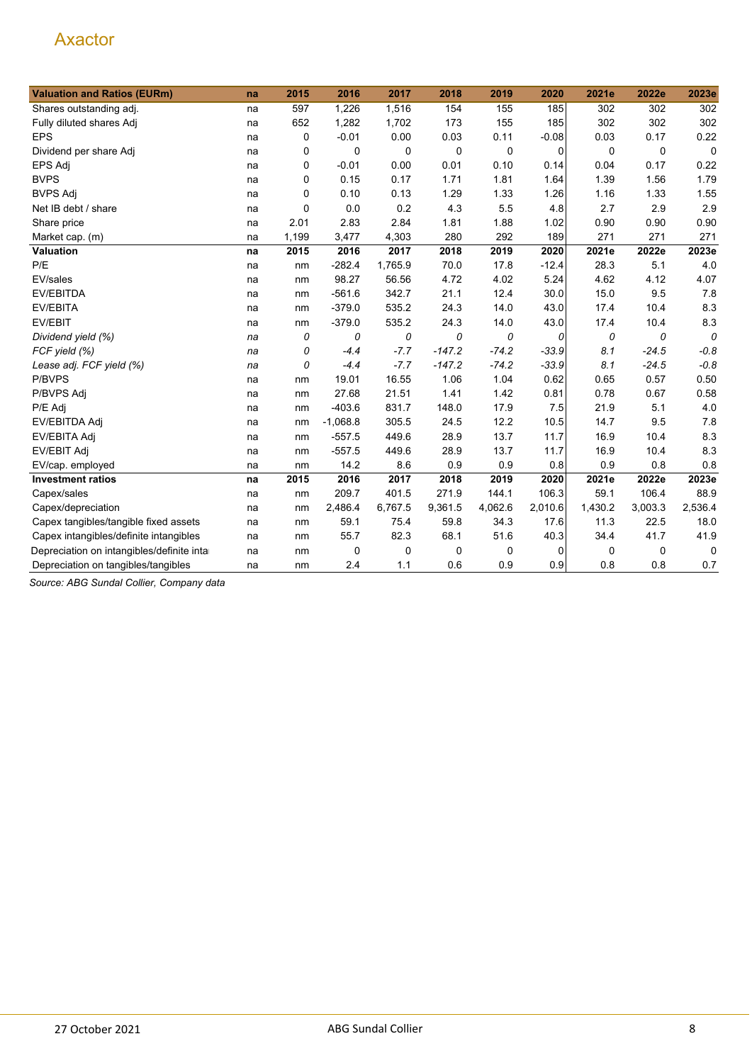| <b>Valuation and Ratios (EURm)</b>         | na | 2015     | 2016       | 2017    | 2018     | 2019        | 2020        | 2021e   | 2022e   | 2023e       |
|--------------------------------------------|----|----------|------------|---------|----------|-------------|-------------|---------|---------|-------------|
| Shares outstanding adj.                    | na | 597      | 1,226      | 1,516   | 154      | 155         | 185         | 302     | 302     | 302         |
| Fully diluted shares Adj                   | na | 652      | 1,282      | 1,702   | 173      | 155         | 185         | 302     | 302     | 302         |
| <b>EPS</b>                                 | na | 0        | $-0.01$    | 0.00    | 0.03     | 0.11        | $-0.08$     | 0.03    | 0.17    | 0.22        |
| Dividend per share Adj                     | na | 0        | 0          | 0       | 0        | $\mathbf 0$ | $\mathbf 0$ | 0       | 0       | $\mathbf 0$ |
| EPS Adj                                    | na | 0        | $-0.01$    | 0.00    | 0.01     | 0.10        | 0.14        | 0.04    | 0.17    | 0.22        |
| <b>BVPS</b>                                | na | 0        | 0.15       | 0.17    | 1.71     | 1.81        | 1.64        | 1.39    | 1.56    | 1.79        |
| <b>BVPS Adj</b>                            | na | 0        | 0.10       | 0.13    | 1.29     | 1.33        | 1.26        | 1.16    | 1.33    | 1.55        |
| Net IB debt / share                        | na | $\Omega$ | 0.0        | 0.2     | 4.3      | 5.5         | 4.8         | 2.7     | 2.9     | 2.9         |
| Share price                                | na | 2.01     | 2.83       | 2.84    | 1.81     | 1.88        | 1.02        | 0.90    | 0.90    | 0.90        |
| Market cap. (m)                            | na | 1,199    | 3,477      | 4,303   | 280      | 292         | 189         | 271     | 271     | 271         |
| Valuation                                  | na | 2015     | 2016       | 2017    | 2018     | 2019        | 2020        | 2021e   | 2022e   | 2023e       |
| P/E                                        | na | nm       | $-282.4$   | 1,765.9 | 70.0     | 17.8        | $-12.4$     | 28.3    | 5.1     | 4.0         |
| EV/sales                                   | na | nm       | 98.27      | 56.56   | 4.72     | 4.02        | 5.24        | 4.62    | 4.12    | 4.07        |
| EV/EBITDA                                  | na | nm       | $-561.6$   | 342.7   | 21.1     | 12.4        | 30.0        | 15.0    | 9.5     | 7.8         |
| <b>EV/EBITA</b>                            | na | nm       | $-379.0$   | 535.2   | 24.3     | 14.0        | 43.0        | 17.4    | 10.4    | 8.3         |
| EV/EBIT                                    | na | nm       | $-379.0$   | 535.2   | 24.3     | 14.0        | 43.0        | 17.4    | 10.4    | 8.3         |
| Dividend yield (%)                         | na | 0        | 0          | 0       | 0        | 0           | 0           | 0       | 0       | 0           |
| FCF yield (%)                              | na | 0        | $-4.4$     | $-7.7$  | $-147.2$ | $-74.2$     | $-33.9$     | 8.1     | $-24.5$ | $-0.8$      |
| Lease adj. FCF yield (%)                   | na | 0        | $-4.4$     | $-7.7$  | $-147.2$ | $-74.2$     | $-33.9$     | 8.1     | $-24.5$ | $-0.8$      |
| P/BVPS                                     | na | nm       | 19.01      | 16.55   | 1.06     | 1.04        | 0.62        | 0.65    | 0.57    | 0.50        |
| P/BVPS Adj                                 | na | nm       | 27.68      | 21.51   | 1.41     | 1.42        | 0.81        | 0.78    | 0.67    | 0.58        |
| P/E Adj                                    | na | nm       | $-403.6$   | 831.7   | 148.0    | 17.9        | 7.5         | 21.9    | 5.1     | 4.0         |
| EV/EBITDA Adj                              | na | nm       | $-1,068.8$ | 305.5   | 24.5     | 12.2        | 10.5        | 14.7    | 9.5     | 7.8         |
| EV/EBITA Adj                               | na | nm       | $-557.5$   | 449.6   | 28.9     | 13.7        | 11.7        | 16.9    | 10.4    | 8.3         |
| EV/EBIT Adj                                | na | nm       | $-557.5$   | 449.6   | 28.9     | 13.7        | 11.7        | 16.9    | 10.4    | 8.3         |
| EV/cap. employed                           | na | nm       | 14.2       | 8.6     | 0.9      | 0.9         | 0.8         | 0.9     | 0.8     | 0.8         |
| <b>Investment ratios</b>                   | na | 2015     | 2016       | 2017    | 2018     | 2019        | 2020        | 2021e   | 2022e   | 2023e       |
| Capex/sales                                | na | nm       | 209.7      | 401.5   | 271.9    | 144.1       | 106.3       | 59.1    | 106.4   | 88.9        |
| Capex/depreciation                         | na | nm       | 2,486.4    | 6,767.5 | 9,361.5  | 4,062.6     | 2,010.6     | 1,430.2 | 3,003.3 | 2,536.4     |
| Capex tangibles/tangible fixed assets      | na | nm       | 59.1       | 75.4    | 59.8     | 34.3        | 17.6        | 11.3    | 22.5    | 18.0        |
| Capex intangibles/definite intangibles     | na | nm       | 55.7       | 82.3    | 68.1     | 51.6        | 40.3        | 34.4    | 41.7    | 41.9        |
| Depreciation on intangibles/definite intar | na | nm       | 0          | 0       | 0        | 0           | 0           | 0       | 0       | 0           |
| Depreciation on tangibles/tangibles        | na | nm       | 2.4        | 1.1     | 0.6      | 0.9         | 0.9         | 0.8     | 0.8     | 0.7         |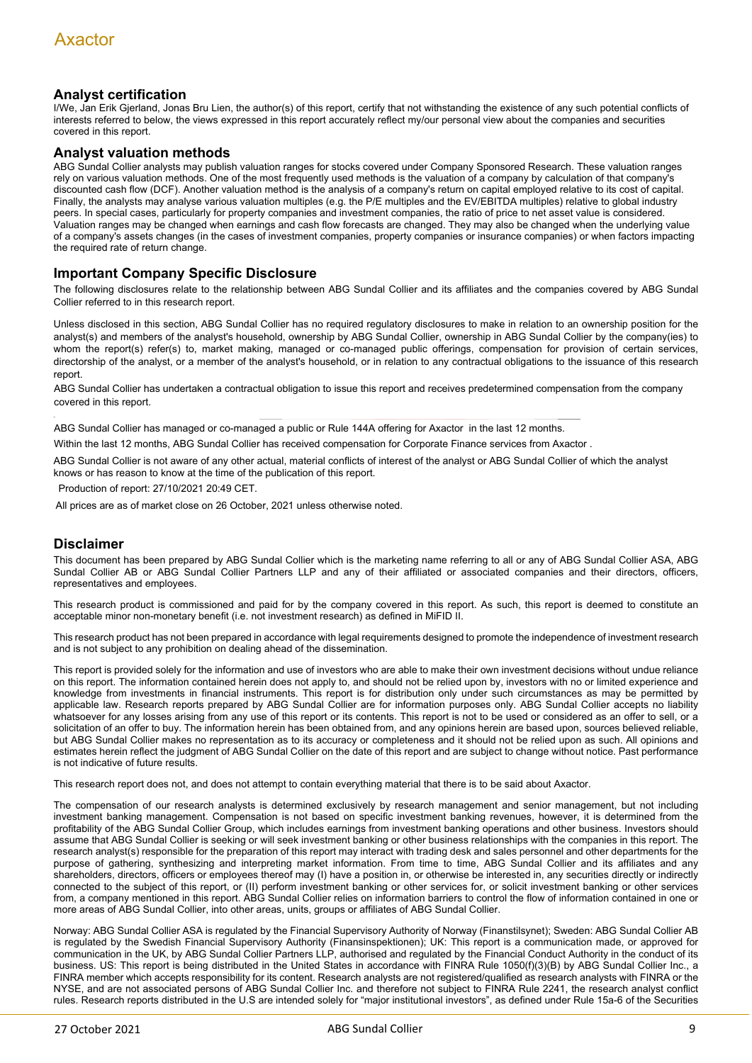#### **Analyst certification**

I/We, Jan Erik Gjerland, Jonas Bru Lien, the author(s) of this report, certify that not withstanding the existence of any such potential conflicts of interests referred to below, the views expressed in this report accurately reflect my/our personal view about the companies and securities covered in this report.

#### **Analyst valuation methods**

ABG Sundal Collier analysts may publish valuation ranges for stocks covered under Company Sponsored Research. These valuation ranges rely on various valuation methods. One of the most frequently used methods is the valuation of a company by calculation of that company's discounted cash flow (DCF). Another valuation method is the analysis of a company's return on capital employed relative to its cost of capital. Finally, the analysts may analyse various valuation multiples (e.g. the P/E multiples and the EV/EBITDA multiples) relative to global industry peers. In special cases, particularly for property companies and investment companies, the ratio of price to net asset value is considered. Valuation ranges may be changed when earnings and cash flow forecasts are changed. They may also be changed when the underlying value of a company's assets changes (in the cases of investment companies, property companies or insurance companies) or when factors impacting the required rate of return change.

#### **Important Company Specific Disclosure**

The following disclosures relate to the relationship between ABG Sundal Collier and its affiliates and the companies covered by ABG Sundal Collier referred to in this research report.

Unless disclosed in this section, ABG Sundal Collier has no required regulatory disclosures to make in relation to an ownership position for the analyst(s) and members of the analyst's household, ownership by ABG Sundal Collier, ownership in ABG Sundal Collier by the company(ies) to whom the report(s) refer(s) to, market making, managed or co-managed public offerings, compensation for provision of certain services, directorship of the analyst, or a member of the analyst's household, or in relation to any contractual obligations to the issuance of this research report.

ABG Sundal Collier has undertaken a contractual obligation to issue this report and receives predetermined compensation from the company covered in this report.

ABG Sundal Collier has managed or co-managed a public or Rule 144A offering for Axactor in the last 12 months.

Within the last 12 months, ABG Sundal Collier has received compensation for Corporate Finance services from Axactor .

ABG Sundal Collier is not aware of any other actual, material conflicts of interest of the analyst or ABG Sundal Collier of which the analyst knows or has reason to know at the time of the publication of this report.

oduction of report: 27/10/2021 20:49 CET

All prices are as of market close on 26 October, 2021 unless otherwise noted.

#### **Disclaimer**

This document has been prepared by ABG Sundal Collier which is the marketing name referring to all or any of ABG Sundal Collier ASA, ABG Sundal Collier AB or ABG Sundal Collier Partners LLP and any of their affiliated or associated companies and their directors, officers, representatives and employees.

This research product is commissioned and paid for by the company covered in this report. As such, this report is deemed to constitute an acceptable minor non-monetary benefit (i.e. not investment research) as defined in MiFID II.

This research product has not been prepared in accordance with legal requirements designed to promote the independence of investment research and is not subject to any prohibition on dealing ahead of the dissemination.

This report is provided solely for the information and use of investors who are able to make their own investment decisions without undue reliance on this report. The information contained herein does not apply to, and should not be relied upon by, investors with no or limited experience and knowledge from investments in financial instruments. This report is for distribution only under such circumstances as may be permitted by applicable law. Research reports prepared by ABG Sundal Collier are for information purposes only. ABG Sundal Collier accepts no liability whatsoever for any losses arising from any use of this report or its contents. This report is not to be used or considered as an offer to sell, or a solicitation of an offer to buy. The information herein has been obtained from, and any opinions herein are based upon, sources believed reliable, but ABG Sundal Collier makes no representation as to its accuracy or completeness and it should not be relied upon as such. All opinions and estimates herein reflect the judgment of ABG Sundal Collier on the date of this report and are subject to change without notice. Past performance is not indicative of future results.

This research report does not, and does not attempt to contain everything material that there is to be said about Axactor.

The compensation of our research analysts is determined exclusively by research management and senior management, but not including investment banking management. Compensation is not based on specific investment banking revenues, however, it is determined from the profitability of the ABG Sundal Collier Group, which includes earnings from investment banking operations and other business. Investors should assume that ABG Sundal Collier is seeking or will seek investment banking or other business relationships with the companies in this report. The research analyst(s) responsible for the preparation of this report may interact with trading desk and sales personnel and other departments for the purpose of gathering, synthesizing and interpreting market information. From time to time, ABG Sundal Collier and its affiliates and any shareholders, directors, officers or employees thereof may (I) have a position in, or otherwise be interested in, any securities directly or indirectly connected to the subject of this report, or (II) perform investment banking or other services for, or solicit investment banking or other services from, a company mentioned in this report. ABG Sundal Collier relies on information barriers to control the flow of information contained in one or more areas of ABG Sundal Collier, into other areas, units, groups or affiliates of ABG Sundal Collier.

Norway: ABG Sundal Collier ASA is regulated by the Financial Supervisory Authority of Norway (Finanstilsynet); Sweden: ABG Sundal Collier AB is regulated by the Swedish Financial Supervisory Authority (Finansinspektionen); UK: This report is a communication made, or approved for communication in the UK, by ABG Sundal Collier Partners LLP, authorised and regulated by the Financial Conduct Authority in the conduct of its business. US: This report is being distributed in the United States in accordance with FINRA Rule 1050(f)(3)(B) by ABG Sundal Collier Inc., a FINRA member which accepts responsibility for its content. Research analysts are not registered/qualified as research analysts with FINRA or the NYSE, and are not associated persons of ABG Sundal Collier Inc. and therefore not subject to FINRA Rule 2241, the research analyst conflict rules. Research reports distributed in the U.S are intended solely for "major institutional investors", as defined under Rule 15a-6 of the Securities